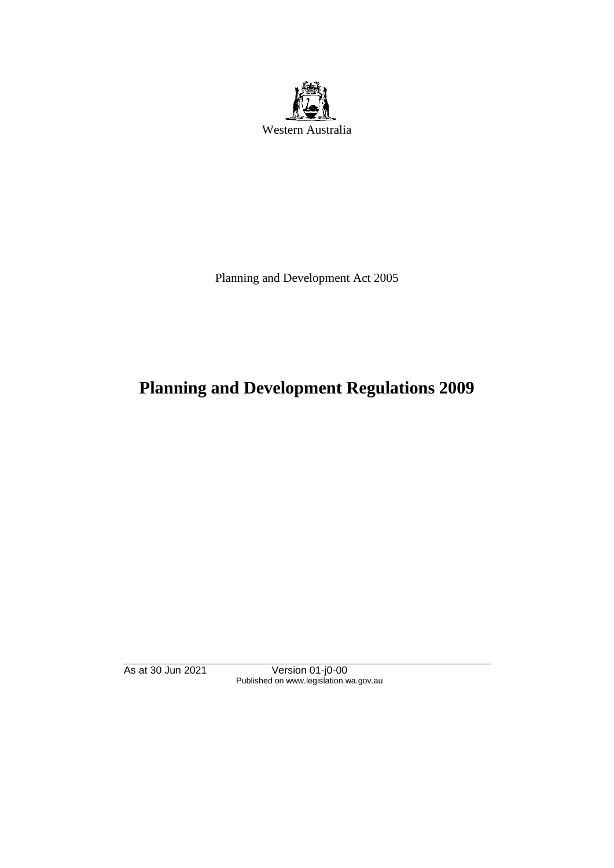

Planning and Development Act 2005

# **Planning and Development Regulations 2009**

As at 30 Jun 2021 Version 01-j0-00 Published on www.legislation.wa.gov.au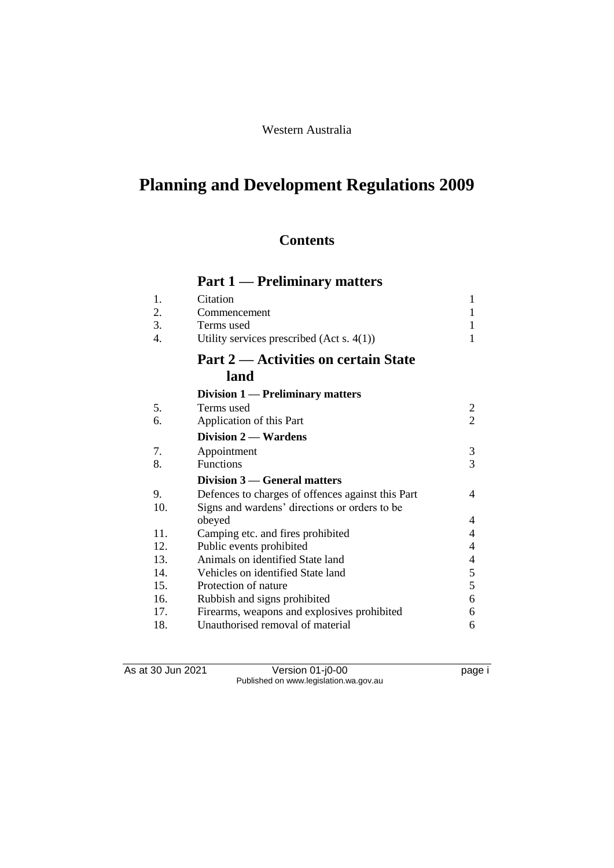# Western Australia

# **Planning and Development Regulations 2009**

# **Contents**

# **Part 1 — Preliminary matters**

| Citation                                          | 1              |
|---------------------------------------------------|----------------|
| Commencement                                      | 1              |
| Terms used                                        | 1              |
| Utility services prescribed $(Act s. 4(1))$       | 1              |
| Part 2 — Activities on certain State              |                |
| land                                              |                |
| Division 1 — Preliminary matters                  |                |
| Terms used                                        | $\overline{c}$ |
| Application of this Part                          | $\overline{2}$ |
| Division 2 — Wardens                              |                |
| Appointment                                       | 3              |
| <b>Functions</b>                                  | $\overline{3}$ |
| Division 3 — General matters                      |                |
| Defences to charges of offences against this Part | 4              |
| Signs and wardens' directions or orders to be     |                |
| obeyed                                            | 4              |
| Camping etc. and fires prohibited                 | 4              |
| Public events prohibited                          | 4              |
| Animals on identified State land                  | 4              |
| Vehicles on identified State land                 | 5              |
| Protection of nature                              | $\overline{5}$ |
| Rubbish and signs prohibited                      | 6              |
| Firearms, weapons and explosives prohibited       | 6              |
| Unauthorised removal of material                  | 6              |
|                                                   |                |

As at 30 Jun 2021 Version 01-j0-00 page i Published on www.legislation.wa.gov.au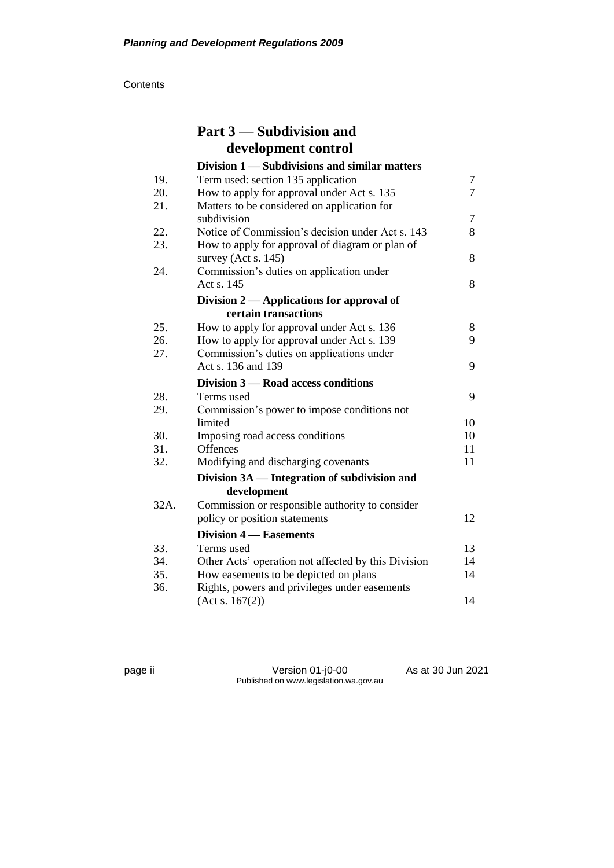**Contents** 

|      | Part 3 — Subdivision and                                           |    |
|------|--------------------------------------------------------------------|----|
|      | development control                                                |    |
|      | Division 1 — Subdivisions and similar matters                      |    |
| 19.  | Term used: section 135 application                                 | 7  |
| 20.  | How to apply for approval under Act s. 135                         | 7  |
| 21.  | Matters to be considered on application for<br>subdivision         | 7  |
| 22.  | Notice of Commission's decision under Act s. 143                   | 8  |
| 23.  | How to apply for approval of diagram or plan of                    |    |
| 24.  | survey (Act s. $145$ )<br>Commission's duties on application under | 8  |
|      | Act s. 145                                                         | 8  |
|      | Division 2 — Applications for approval of                          |    |
|      | certain transactions                                               |    |
| 25.  | How to apply for approval under Act s. 136                         | 8  |
| 26.  | How to apply for approval under Act s. 139                         | 9  |
| 27.  | Commission's duties on applications under                          |    |
|      | Act s. 136 and 139                                                 | 9  |
|      | Division 3 – Road access conditions                                |    |
| 28.  | Terms used                                                         | 9  |
| 29.  | Commission's power to impose conditions not                        |    |
|      | limited                                                            | 10 |
| 30.  | Imposing road access conditions                                    | 10 |
| 31.  | Offences                                                           | 11 |
| 32.  | Modifying and discharging covenants                                | 11 |
|      | Division 3A — Integration of subdivision and                       |    |
|      | development                                                        |    |
| 32A. | Commission or responsible authority to consider                    |    |
|      | policy or position statements                                      | 12 |
|      | <b>Division 4 – Easements</b>                                      |    |
| 33.  | Terms used                                                         | 13 |
| 34.  | Other Acts' operation not affected by this Division                | 14 |
| 35.  | How easements to be depicted on plans                              | 14 |
| 36.  | Rights, powers and privileges under easements                      |    |
|      | (Act s. 167(2))                                                    | 14 |

page ii Version 01-j0-00 As at 30 Jun 2021 Published on www.legislation.wa.gov.au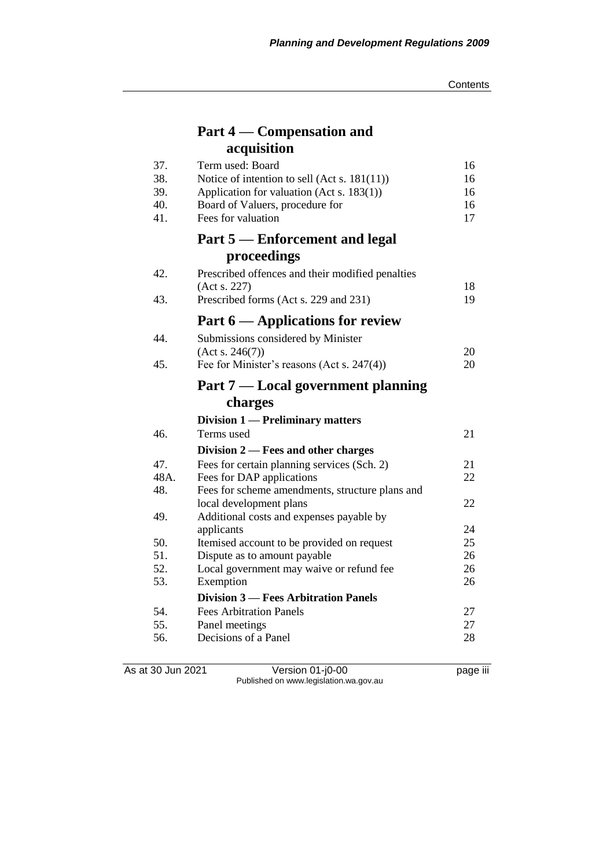# **Part 4 — Compensation and acquisition**

| 37.<br>38.<br>39.<br>40.<br>41. | Term used: Board<br>Notice of intention to sell (Act s. $181(11)$ )<br>Application for valuation (Act s. 183(1))<br>Board of Valuers, procedure for<br>Fees for valuation | 16<br>16<br>16<br>16<br>17 |
|---------------------------------|---------------------------------------------------------------------------------------------------------------------------------------------------------------------------|----------------------------|
|                                 | Part 5 – Enforcement and legal                                                                                                                                            |                            |
|                                 | proceedings                                                                                                                                                               |                            |
| 42.<br>43.                      | Prescribed offences and their modified penalties<br>(Act s. 227)                                                                                                          | 18<br>19                   |
|                                 | Prescribed forms (Act s. 229 and 231)                                                                                                                                     |                            |
|                                 | Part 6 — Applications for review                                                                                                                                          |                            |
| 44.                             | Submissions considered by Minister                                                                                                                                        |                            |
|                                 | (Acts. 246(7))                                                                                                                                                            | 20                         |
| 45.                             | Fee for Minister's reasons (Act s. 247(4))                                                                                                                                | 20                         |
|                                 | Part 7 — Local government planning                                                                                                                                        |                            |
|                                 | charges                                                                                                                                                                   |                            |
|                                 | Division 1 — Preliminary matters                                                                                                                                          |                            |
| 46.                             | Terms used                                                                                                                                                                | 21                         |
|                                 | Division $2$ – Fees and other charges                                                                                                                                     |                            |
| 47.                             | Fees for certain planning services (Sch. 2)                                                                                                                               | 21                         |
| 48A.                            | Fees for DAP applications                                                                                                                                                 | 22                         |
| 48.                             | Fees for scheme amendments, structure plans and                                                                                                                           |                            |
|                                 | local development plans                                                                                                                                                   | 22                         |
| 49.                             | Additional costs and expenses payable by                                                                                                                                  |                            |
|                                 | applicants                                                                                                                                                                | 24                         |
| 50.<br>51.                      | Itemised account to be provided on request                                                                                                                                | 25                         |
| 52.                             | Dispute as to amount payable                                                                                                                                              | 26<br>26                   |
| 53.                             | Local government may waive or refund fee<br>Exemption                                                                                                                     | 26                         |
|                                 |                                                                                                                                                                           |                            |
|                                 | <b>Division 3 – Fees Arbitration Panels</b>                                                                                                                               |                            |
| 54.                             | <b>Fees Arbitration Panels</b>                                                                                                                                            | 27                         |
| 55.                             | Panel meetings                                                                                                                                                            | 27                         |
| 56.                             | Decisions of a Panel                                                                                                                                                      | 28                         |

As at 30 Jun 2021 Version 01-j0-00 page iii Published on www.legislation.wa.gov.au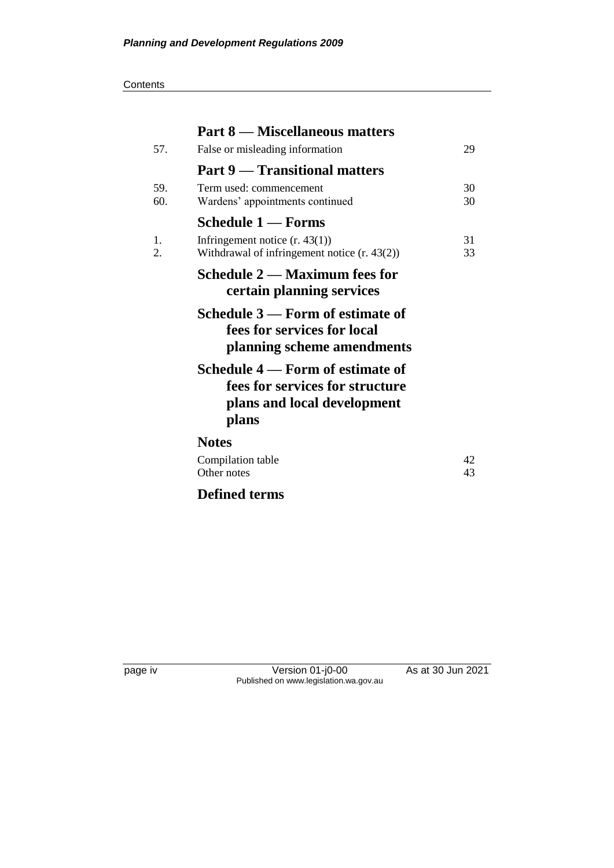#### **Contents**

| <b>Part 8 — Miscellaneous matters</b>                                                                       |          |
|-------------------------------------------------------------------------------------------------------------|----------|
| False or misleading information                                                                             | 29       |
| <b>Part 9 — Transitional matters</b>                                                                        |          |
| Term used: commencement<br>Wardens' appointments continued                                                  | 30<br>30 |
| <b>Schedule 1 — Forms</b>                                                                                   |          |
| Infringement notice $(r. 43(1))$<br>Withdrawal of infringement notice $(r. 43(2))$                          | 31<br>33 |
| Schedule 2 — Maximum fees for<br>certain planning services                                                  |          |
| Schedule 3 – Form of estimate of<br>fees for services for local<br>planning scheme amendments               |          |
| Schedule 4 – Form of estimate of<br>fees for services for structure<br>plans and local development<br>plans |          |
| <b>Notes</b>                                                                                                |          |
| Compilation table<br>Other notes                                                                            | 42<br>43 |
| <b>Defined terms</b>                                                                                        |          |
|                                                                                                             |          |

page iv Version 01-j0-00 As at 30 Jun 2021 Published on www.legislation.wa.gov.au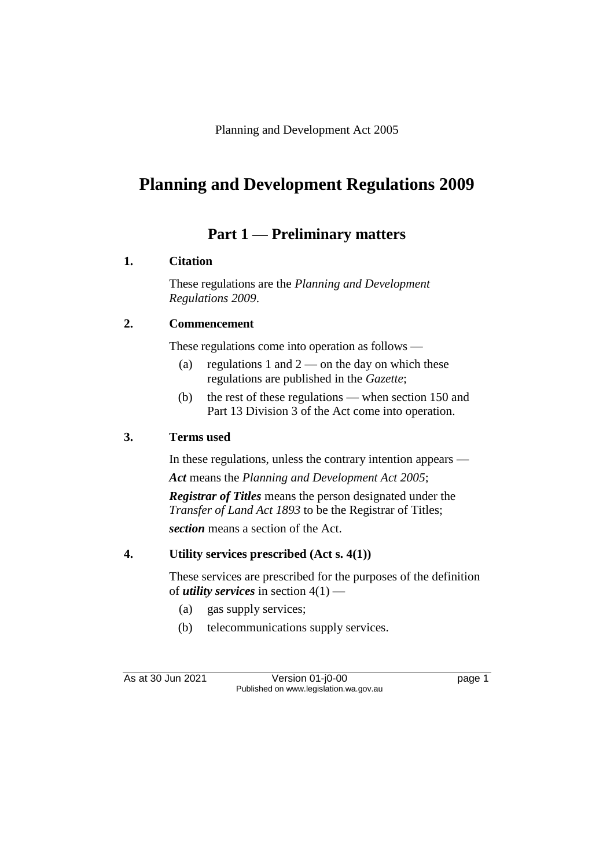Planning and Development Act 2005

# **Planning and Development Regulations 2009**

# **Part 1 — Preliminary matters**

# **1. Citation**

These regulations are the *Planning and Development Regulations 2009*.

# **2. Commencement**

These regulations come into operation as follows —

- (a) regulations 1 and  $2$  on the day on which these regulations are published in the *Gazette*;
- (b) the rest of these regulations when section 150 and Part 13 Division 3 of the Act come into operation.

# **3. Terms used**

In these regulations, unless the contrary intention appears — *Act* means the *Planning and Development Act 2005*;

*Registrar of Titles* means the person designated under the *Transfer of Land Act 1893* to be the Registrar of Titles; *section* means a section of the Act.

# **4. Utility services prescribed (Act s. 4(1))**

These services are prescribed for the purposes of the definition of *utility services* in section 4(1) —

- (a) gas supply services;
- (b) telecommunications supply services.

As at 30 Jun 2021 **Version 01-j0-00 page 1** Published on www.legislation.wa.gov.au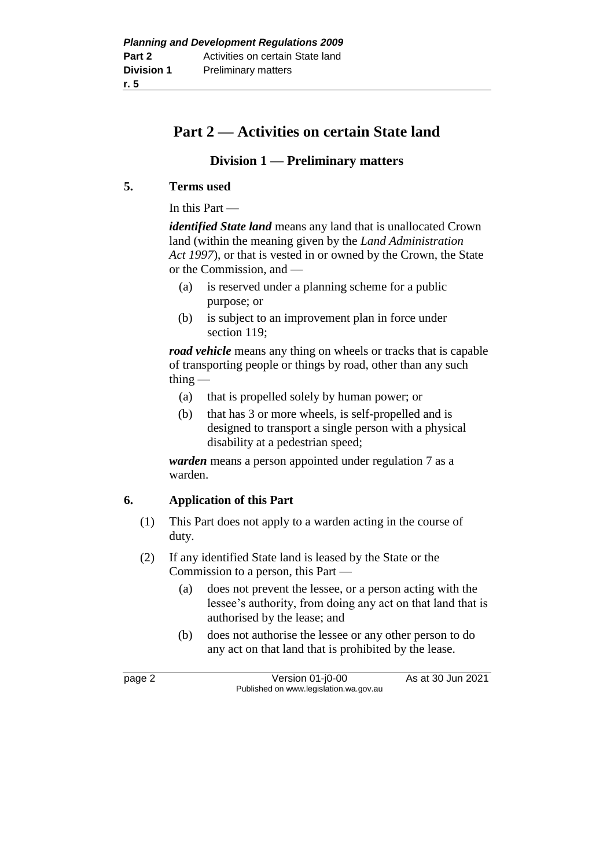# **Part 2 — Activities on certain State land**

# **Division 1 — Preliminary matters**

## **5. Terms used**

In this Part —

*identified State land* means any land that is unallocated Crown land (within the meaning given by the *Land Administration Act 1997*), or that is vested in or owned by the Crown, the State or the Commission, and —

- (a) is reserved under a planning scheme for a public purpose; or
- (b) is subject to an improvement plan in force under section 119;

*road vehicle* means any thing on wheels or tracks that is capable of transporting people or things by road, other than any such thing  $-$ 

- (a) that is propelled solely by human power; or
- (b) that has 3 or more wheels, is self-propelled and is designed to transport a single person with a physical disability at a pedestrian speed;

*warden* means a person appointed under regulation 7 as a warden.

## **6. Application of this Part**

- (1) This Part does not apply to a warden acting in the course of duty.
- (2) If any identified State land is leased by the State or the Commission to a person, this Part —
	- (a) does not prevent the lessee, or a person acting with the lessee's authority, from doing any act on that land that is authorised by the lease; and
	- (b) does not authorise the lessee or any other person to do any act on that land that is prohibited by the lease.

page 2 Version 01-j0-00 As at 30 Jun 2021 Published on www.legislation.wa.gov.au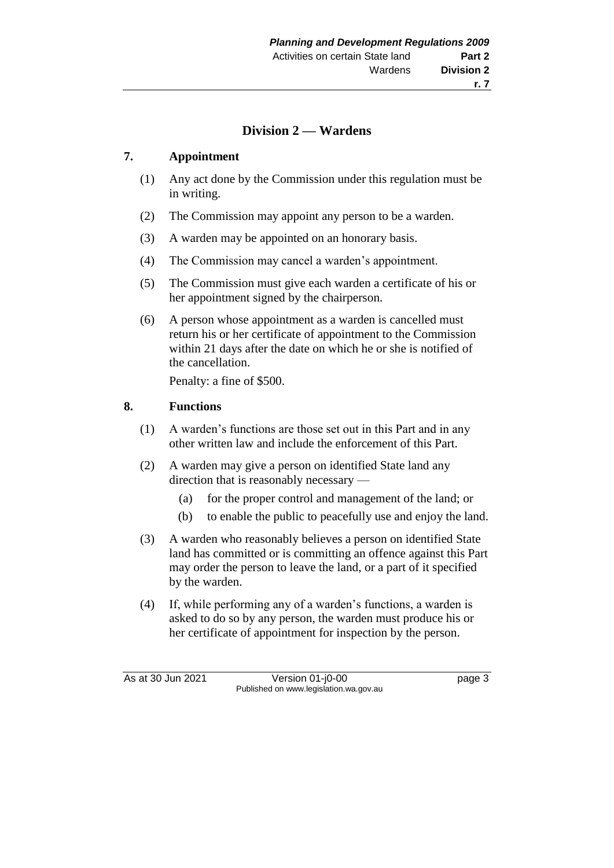# **Division 2 — Wardens**

### **7. Appointment**

- (1) Any act done by the Commission under this regulation must be in writing.
- (2) The Commission may appoint any person to be a warden.
- (3) A warden may be appointed on an honorary basis.
- (4) The Commission may cancel a warden's appointment.
- (5) The Commission must give each warden a certificate of his or her appointment signed by the chairperson.
- (6) A person whose appointment as a warden is cancelled must return his or her certificate of appointment to the Commission within 21 days after the date on which he or she is notified of the cancellation.

Penalty: a fine of \$500.

### **8. Functions**

- (1) A warden's functions are those set out in this Part and in any other written law and include the enforcement of this Part.
- (2) A warden may give a person on identified State land any direction that is reasonably necessary —
	- (a) for the proper control and management of the land; or
	- (b) to enable the public to peacefully use and enjoy the land.
- (3) A warden who reasonably believes a person on identified State land has committed or is committing an offence against this Part may order the person to leave the land, or a part of it specified by the warden.
- (4) If, while performing any of a warden's functions, a warden is asked to do so by any person, the warden must produce his or her certificate of appointment for inspection by the person.

As at 30 Jun 2021 Version 01-j0-00 Page 3 Published on www.legislation.wa.gov.au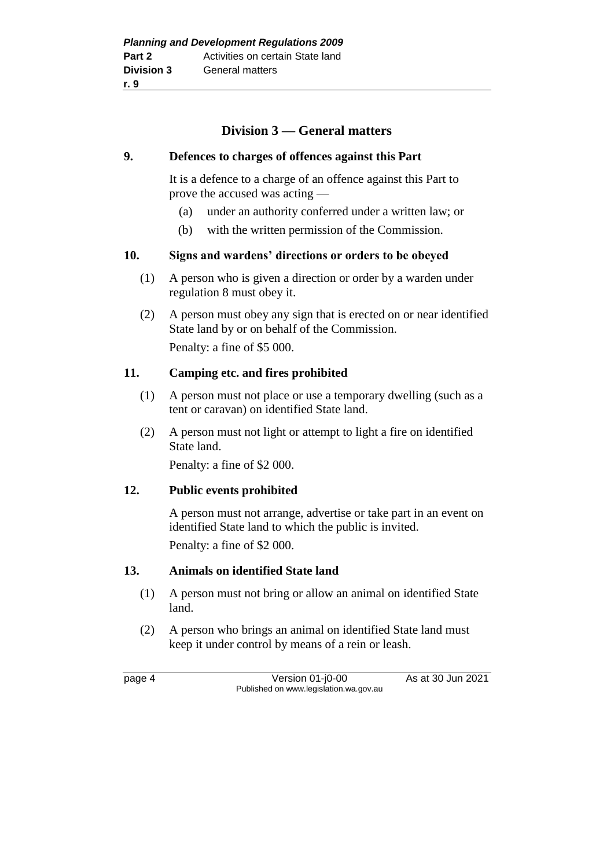# **Division 3 — General matters**

#### **9. Defences to charges of offences against this Part**

It is a defence to a charge of an offence against this Part to prove the accused was acting —

- (a) under an authority conferred under a written law; or
- (b) with the written permission of the Commission.

### **10. Signs and wardens' directions or orders to be obeyed**

- (1) A person who is given a direction or order by a warden under regulation 8 must obey it.
- (2) A person must obey any sign that is erected on or near identified State land by or on behalf of the Commission. Penalty: a fine of \$5 000.

### **11. Camping etc. and fires prohibited**

- (1) A person must not place or use a temporary dwelling (such as a tent or caravan) on identified State land.
- (2) A person must not light or attempt to light a fire on identified State land.

Penalty: a fine of \$2 000.

### **12. Public events prohibited**

A person must not arrange, advertise or take part in an event on identified State land to which the public is invited. Penalty: a fine of \$2 000.

### **13. Animals on identified State land**

- (1) A person must not bring or allow an animal on identified State land.
- (2) A person who brings an animal on identified State land must keep it under control by means of a rein or leash.

page 4 Version 01-j0-00 As at 30 Jun 2021 Published on www.legislation.wa.gov.au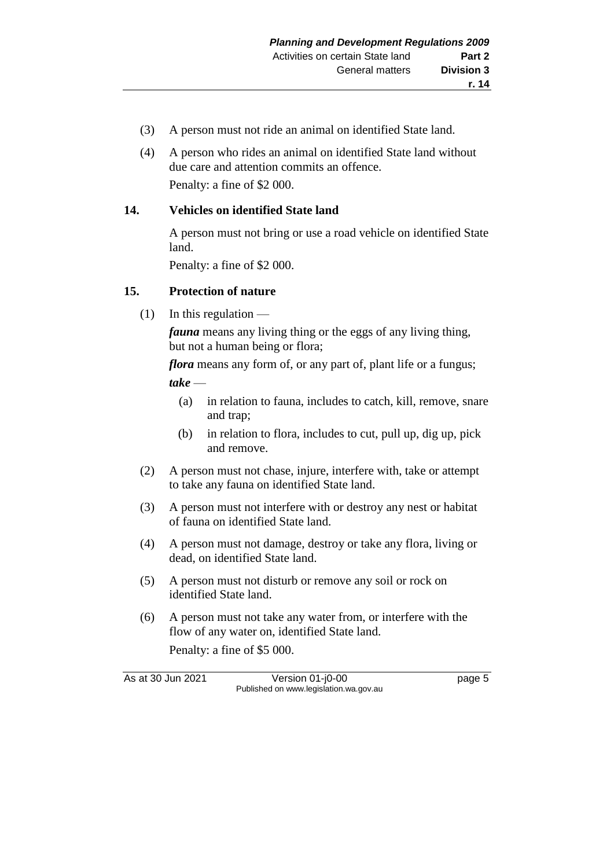- (3) A person must not ride an animal on identified State land.
- (4) A person who rides an animal on identified State land without due care and attention commits an offence. Penalty: a fine of \$2 000.

### **14. Vehicles on identified State land**

A person must not bring or use a road vehicle on identified State land.

Penalty: a fine of \$2 000.

### **15. Protection of nature**

 $(1)$  In this regulation —

*fauna* means any living thing or the eggs of any living thing, but not a human being or flora;

*flora* means any form of, or any part of, plant life or a fungus;

*take* —

- (a) in relation to fauna, includes to catch, kill, remove, snare and trap;
- (b) in relation to flora, includes to cut, pull up, dig up, pick and remove.
- (2) A person must not chase, injure, interfere with, take or attempt to take any fauna on identified State land.
- (3) A person must not interfere with or destroy any nest or habitat of fauna on identified State land.
- (4) A person must not damage, destroy or take any flora, living or dead, on identified State land.
- (5) A person must not disturb or remove any soil or rock on identified State land.
- (6) A person must not take any water from, or interfere with the flow of any water on, identified State land.

Penalty: a fine of \$5 000.

As at 30 Jun 2021 Version 01-j0-00 Page 5 Published on www.legislation.wa.gov.au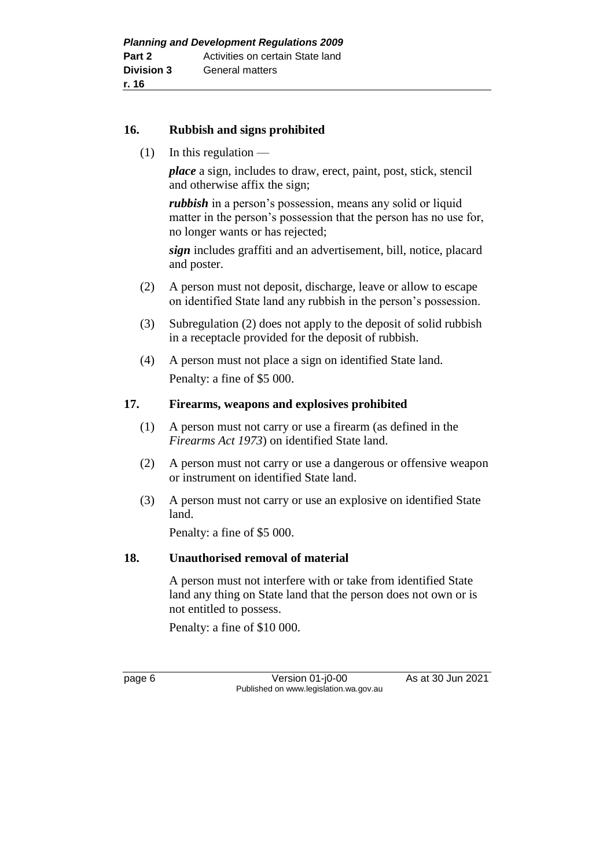### **16. Rubbish and signs prohibited**

 $(1)$  In this regulation —

*place* a sign, includes to draw, erect, paint, post, stick, stencil and otherwise affix the sign;

*rubbish* in a person's possession, means any solid or liquid matter in the person's possession that the person has no use for, no longer wants or has rejected;

*sign* includes graffiti and an advertisement, bill, notice, placard and poster.

- (2) A person must not deposit, discharge, leave or allow to escape on identified State land any rubbish in the person's possession.
- (3) Subregulation (2) does not apply to the deposit of solid rubbish in a receptacle provided for the deposit of rubbish.
- (4) A person must not place a sign on identified State land. Penalty: a fine of \$5 000.

### **17. Firearms, weapons and explosives prohibited**

- (1) A person must not carry or use a firearm (as defined in the *Firearms Act 1973*) on identified State land.
- (2) A person must not carry or use a dangerous or offensive weapon or instrument on identified State land.
- (3) A person must not carry or use an explosive on identified State land.

Penalty: a fine of \$5 000.

### **18. Unauthorised removal of material**

A person must not interfere with or take from identified State land any thing on State land that the person does not own or is not entitled to possess.

Penalty: a fine of \$10 000.

page 6 Version 01-j0-00 As at 30 Jun 2021 Published on www.legislation.wa.gov.au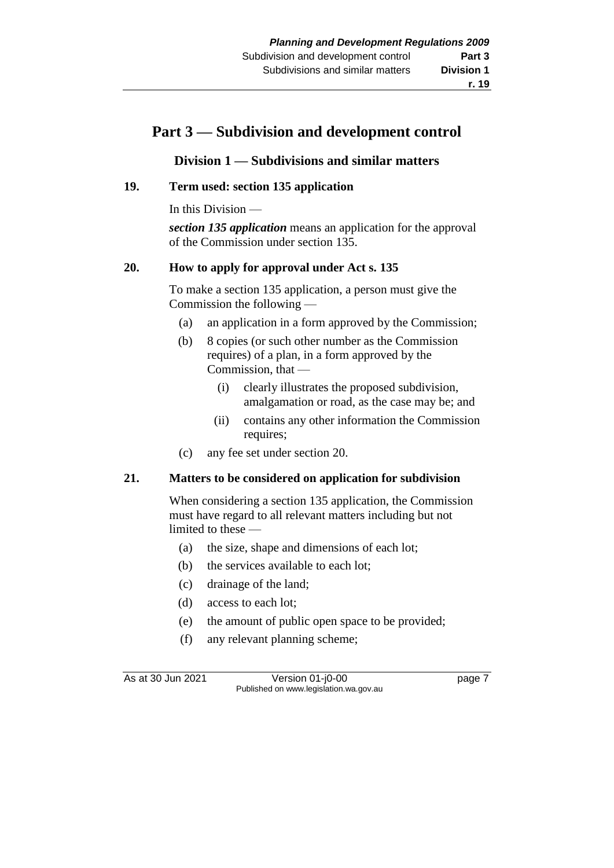# **Part 3 — Subdivision and development control**

# **Division 1 — Subdivisions and similar matters**

# **19. Term used: section 135 application**

In this Division —

*section 135 application* means an application for the approval of the Commission under section 135.

## **20. How to apply for approval under Act s. 135**

To make a section 135 application, a person must give the Commission the following —

- (a) an application in a form approved by the Commission;
- (b) 8 copies (or such other number as the Commission requires) of a plan, in a form approved by the Commission, that —
	- (i) clearly illustrates the proposed subdivision, amalgamation or road, as the case may be; and
	- (ii) contains any other information the Commission requires;
- (c) any fee set under section 20.

## **21. Matters to be considered on application for subdivision**

When considering a section 135 application, the Commission must have regard to all relevant matters including but not limited to these —

- (a) the size, shape and dimensions of each lot;
- (b) the services available to each lot;
- (c) drainage of the land;
- (d) access to each lot;
- (e) the amount of public open space to be provided;
- (f) any relevant planning scheme;

As at 30 Jun 2021 Version 01-j0-00 Page 7 Published on www.legislation.wa.gov.au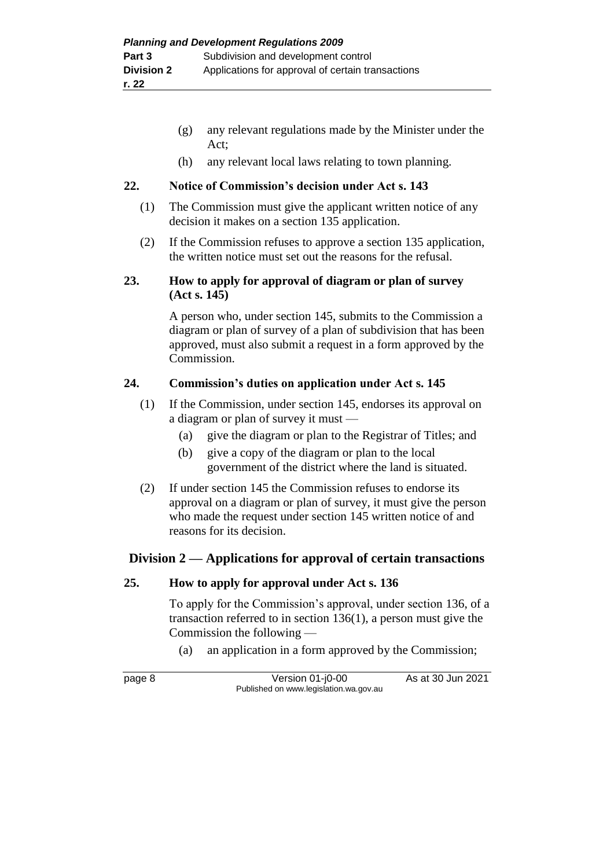- (g) any relevant regulations made by the Minister under the Act;
- (h) any relevant local laws relating to town planning.

## **22. Notice of Commission's decision under Act s. 143**

- (1) The Commission must give the applicant written notice of any decision it makes on a section 135 application.
- (2) If the Commission refuses to approve a section 135 application, the written notice must set out the reasons for the refusal.

### **23. How to apply for approval of diagram or plan of survey (Act s. 145)**

A person who, under section 145, submits to the Commission a diagram or plan of survey of a plan of subdivision that has been approved, must also submit a request in a form approved by the Commission.

# **24. Commission's duties on application under Act s. 145**

- (1) If the Commission, under section 145, endorses its approval on a diagram or plan of survey it must —
	- (a) give the diagram or plan to the Registrar of Titles; and
	- (b) give a copy of the diagram or plan to the local government of the district where the land is situated.
- (2) If under section 145 the Commission refuses to endorse its approval on a diagram or plan of survey, it must give the person who made the request under section 145 written notice of and reasons for its decision.

# **Division 2 — Applications for approval of certain transactions**

## **25. How to apply for approval under Act s. 136**

To apply for the Commission's approval, under section 136, of a transaction referred to in section 136(1), a person must give the Commission the following —

(a) an application in a form approved by the Commission;

page 8 Version 01-j0-00 As at 30 Jun 2021 Published on www.legislation.wa.gov.au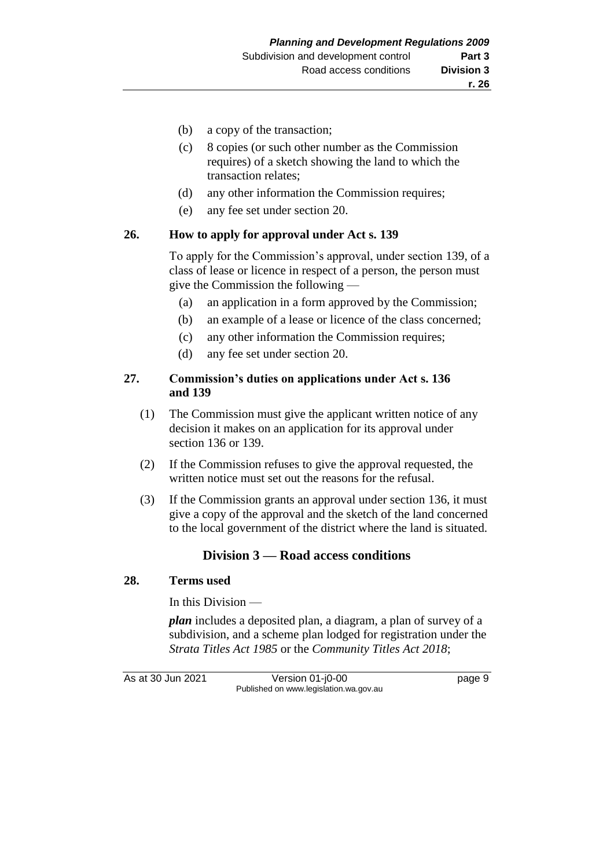- (b) a copy of the transaction;
- (c) 8 copies (or such other number as the Commission requires) of a sketch showing the land to which the transaction relates;
- (d) any other information the Commission requires;
- (e) any fee set under section 20.

#### **26. How to apply for approval under Act s. 139**

To apply for the Commission's approval, under section 139, of a class of lease or licence in respect of a person, the person must give the Commission the following —

- (a) an application in a form approved by the Commission;
- (b) an example of a lease or licence of the class concerned;
- (c) any other information the Commission requires;
- (d) any fee set under section 20.

### **27. Commission's duties on applications under Act s. 136 and 139**

- (1) The Commission must give the applicant written notice of any decision it makes on an application for its approval under section 136 or 139.
- (2) If the Commission refuses to give the approval requested, the written notice must set out the reasons for the refusal.
- (3) If the Commission grants an approval under section 136, it must give a copy of the approval and the sketch of the land concerned to the local government of the district where the land is situated.

### **Division 3 — Road access conditions**

### **28. Terms used**

In this Division —

*plan* includes a deposited plan, a diagram, a plan of survey of a subdivision, and a scheme plan lodged for registration under the *Strata Titles Act 1985* or the *Community Titles Act 2018*;

As at 30 Jun 2021 Version 01-j0-00 Page 9 Published on www.legislation.wa.gov.au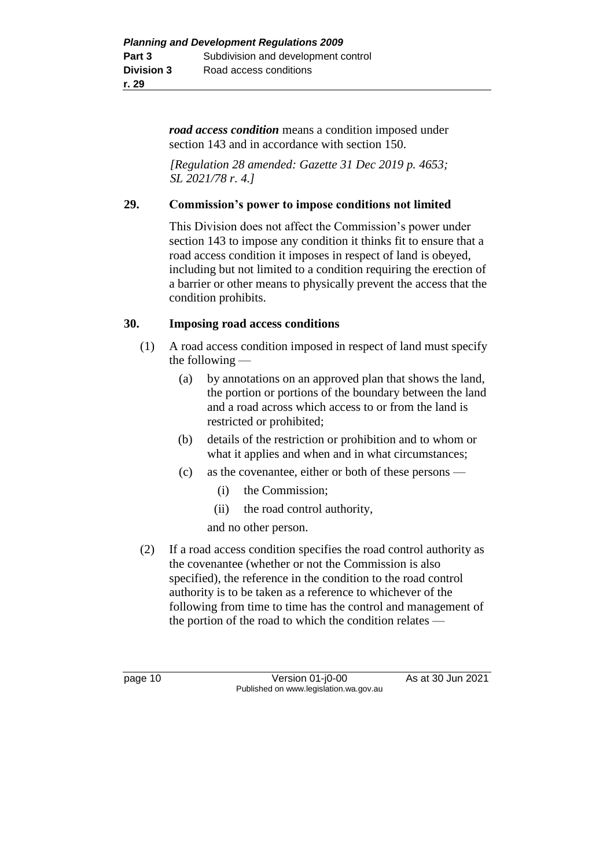*road access condition* means a condition imposed under section 143 and in accordance with section 150.

*[Regulation 28 amended: Gazette 31 Dec 2019 p. 4653; SL 2021/78 r. 4.]*

### **29. Commission's power to impose conditions not limited**

This Division does not affect the Commission's power under section 143 to impose any condition it thinks fit to ensure that a road access condition it imposes in respect of land is obeyed, including but not limited to a condition requiring the erection of a barrier or other means to physically prevent the access that the condition prohibits.

### **30. Imposing road access conditions**

- (1) A road access condition imposed in respect of land must specify the following —
	- (a) by annotations on an approved plan that shows the land, the portion or portions of the boundary between the land and a road across which access to or from the land is restricted or prohibited;
	- (b) details of the restriction or prohibition and to whom or what it applies and when and in what circumstances;
	- (c) as the covenantee, either or both of these persons
		- (i) the Commission;
		- (ii) the road control authority,

and no other person.

(2) If a road access condition specifies the road control authority as the covenantee (whether or not the Commission is also specified), the reference in the condition to the road control authority is to be taken as a reference to whichever of the following from time to time has the control and management of the portion of the road to which the condition relates —

page 10 Version 01-j0-00 As at 30 Jun 2021 Published on www.legislation.wa.gov.au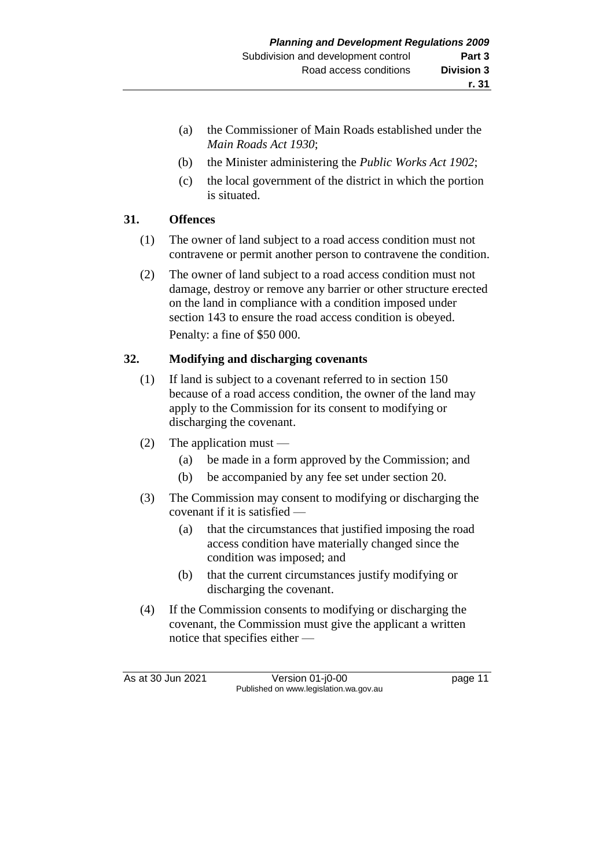- (a) the Commissioner of Main Roads established under the *Main Roads Act 1930*;
- (b) the Minister administering the *Public Works Act 1902*;
- (c) the local government of the district in which the portion is situated.

# **31. Offences**

- (1) The owner of land subject to a road access condition must not contravene or permit another person to contravene the condition.
- (2) The owner of land subject to a road access condition must not damage, destroy or remove any barrier or other structure erected on the land in compliance with a condition imposed under section 143 to ensure the road access condition is obeyed. Penalty: a fine of \$50 000.

# **32. Modifying and discharging covenants**

- (1) If land is subject to a covenant referred to in section 150 because of a road access condition, the owner of the land may apply to the Commission for its consent to modifying or discharging the covenant.
- (2) The application must
	- (a) be made in a form approved by the Commission; and
	- (b) be accompanied by any fee set under section 20.
- (3) The Commission may consent to modifying or discharging the covenant if it is satisfied —
	- (a) that the circumstances that justified imposing the road access condition have materially changed since the condition was imposed; and
	- (b) that the current circumstances justify modifying or discharging the covenant.
- (4) If the Commission consents to modifying or discharging the covenant, the Commission must give the applicant a written notice that specifies either —

As at 30 Jun 2021 Version 01-j0-00 Page 11 Published on www.legislation.wa.gov.au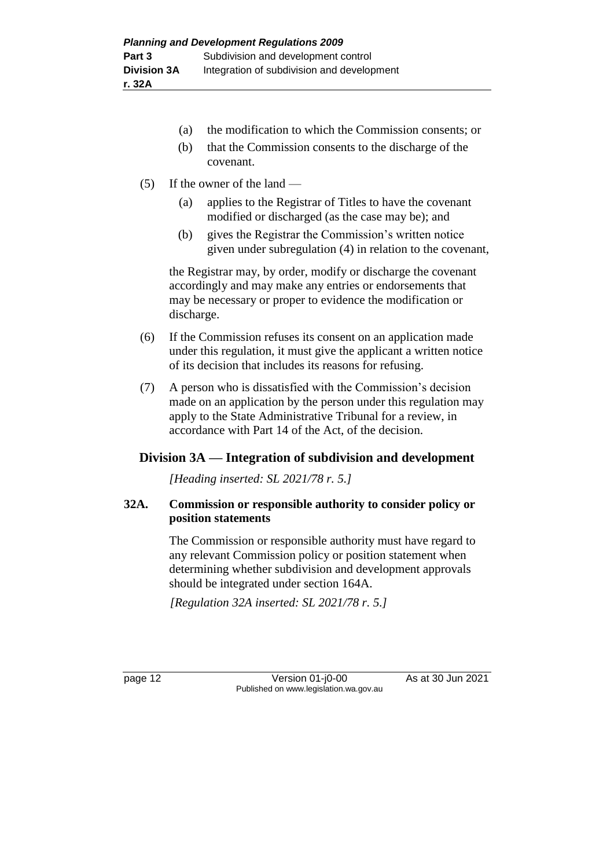- (a) the modification to which the Commission consents; or
- (b) that the Commission consents to the discharge of the covenant.
- (5) If the owner of the land
	- (a) applies to the Registrar of Titles to have the covenant modified or discharged (as the case may be); and
	- (b) gives the Registrar the Commission's written notice given under subregulation (4) in relation to the covenant,

the Registrar may, by order, modify or discharge the covenant accordingly and may make any entries or endorsements that may be necessary or proper to evidence the modification or discharge.

- (6) If the Commission refuses its consent on an application made under this regulation, it must give the applicant a written notice of its decision that includes its reasons for refusing.
- (7) A person who is dissatisfied with the Commission's decision made on an application by the person under this regulation may apply to the State Administrative Tribunal for a review, in accordance with Part 14 of the Act, of the decision.

## **Division 3A — Integration of subdivision and development**

*[Heading inserted: SL 2021/78 r. 5.]*

## **32A. Commission or responsible authority to consider policy or position statements**

The Commission or responsible authority must have regard to any relevant Commission policy or position statement when determining whether subdivision and development approvals should be integrated under section 164A.

*[Regulation 32A inserted: SL 2021/78 r. 5.]*

page 12 **Version 01-j0-00** As at 30 Jun 2021 Published on www.legislation.wa.gov.au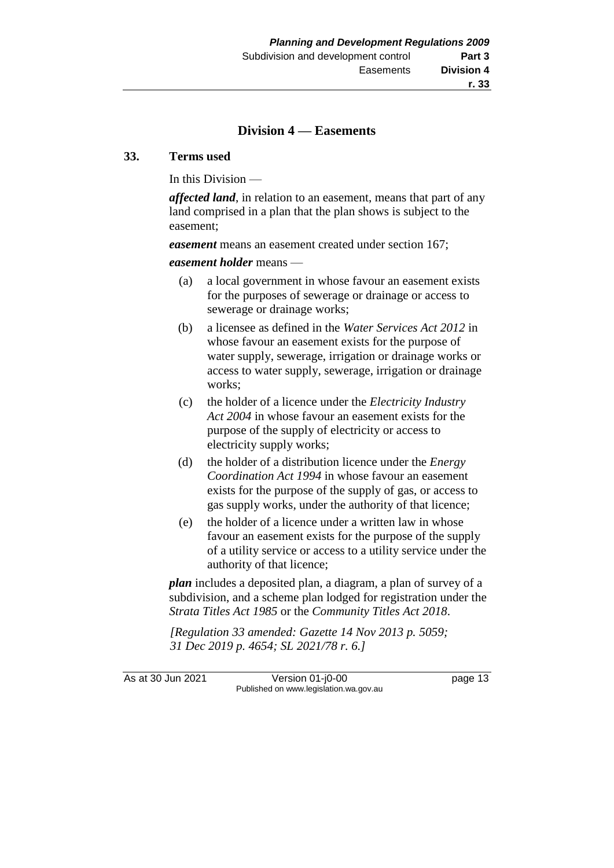### **Division 4 — Easements**

#### **33. Terms used**

In this Division —

*affected land*, in relation to an easement, means that part of any land comprised in a plan that the plan shows is subject to the easement;

*easement* means an easement created under section 167;

#### *easement holder* means —

- (a) a local government in whose favour an easement exists for the purposes of sewerage or drainage or access to sewerage or drainage works;
- (b) a licensee as defined in the *Water Services Act 2012* in whose favour an easement exists for the purpose of water supply, sewerage, irrigation or drainage works or access to water supply, sewerage, irrigation or drainage works;
- (c) the holder of a licence under the *Electricity Industry Act 2004* in whose favour an easement exists for the purpose of the supply of electricity or access to electricity supply works;
- (d) the holder of a distribution licence under the *Energy Coordination Act 1994* in whose favour an easement exists for the purpose of the supply of gas, or access to gas supply works, under the authority of that licence;
- (e) the holder of a licence under a written law in whose favour an easement exists for the purpose of the supply of a utility service or access to a utility service under the authority of that licence;

*plan* includes a deposited plan, a diagram, a plan of survey of a subdivision, and a scheme plan lodged for registration under the *Strata Titles Act 1985* or the *Community Titles Act 2018*.

*[Regulation 33 amended: Gazette 14 Nov 2013 p. 5059; 31 Dec 2019 p. 4654; SL 2021/78 r. 6.]*

As at 30 Jun 2021 Version 01-j0-00 Page 13 Published on www.legislation.wa.gov.au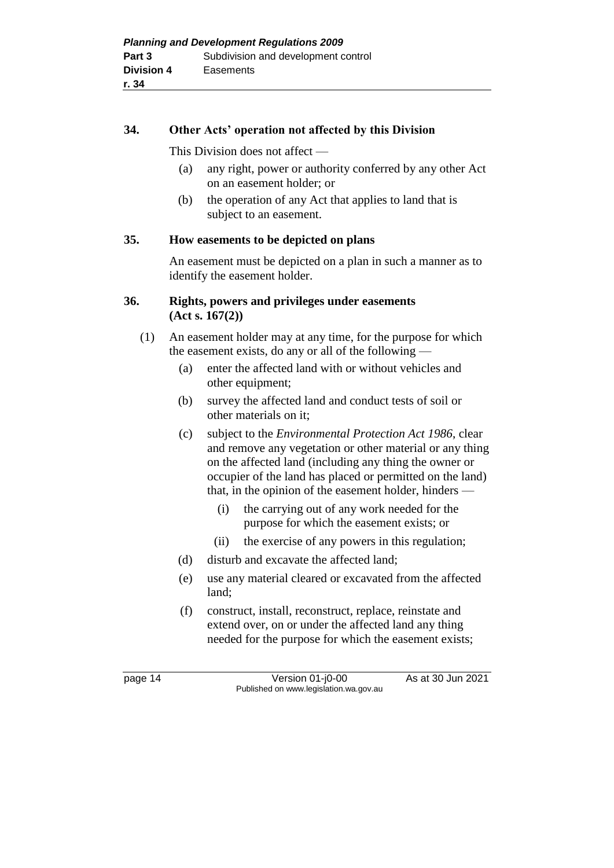### **34. Other Acts' operation not affected by this Division**

This Division does not affect —

- (a) any right, power or authority conferred by any other Act on an easement holder; or
- (b) the operation of any Act that applies to land that is subject to an easement.

### **35. How easements to be depicted on plans**

An easement must be depicted on a plan in such a manner as to identify the easement holder.

### **36. Rights, powers and privileges under easements (Act s. 167(2))**

- (1) An easement holder may at any time, for the purpose for which the easement exists, do any or all of the following —
	- (a) enter the affected land with or without vehicles and other equipment;
	- (b) survey the affected land and conduct tests of soil or other materials on it;
	- (c) subject to the *Environmental Protection Act 1986*, clear and remove any vegetation or other material or any thing on the affected land (including any thing the owner or occupier of the land has placed or permitted on the land) that, in the opinion of the easement holder, hinders —
		- (i) the carrying out of any work needed for the purpose for which the easement exists; or
		- (ii) the exercise of any powers in this regulation;
	- (d) disturb and excavate the affected land;
	- (e) use any material cleared or excavated from the affected land;
	- (f) construct, install, reconstruct, replace, reinstate and extend over, on or under the affected land any thing needed for the purpose for which the easement exists;

page 14 Version 01-j0-00 As at 30 Jun 2021 Published on www.legislation.wa.gov.au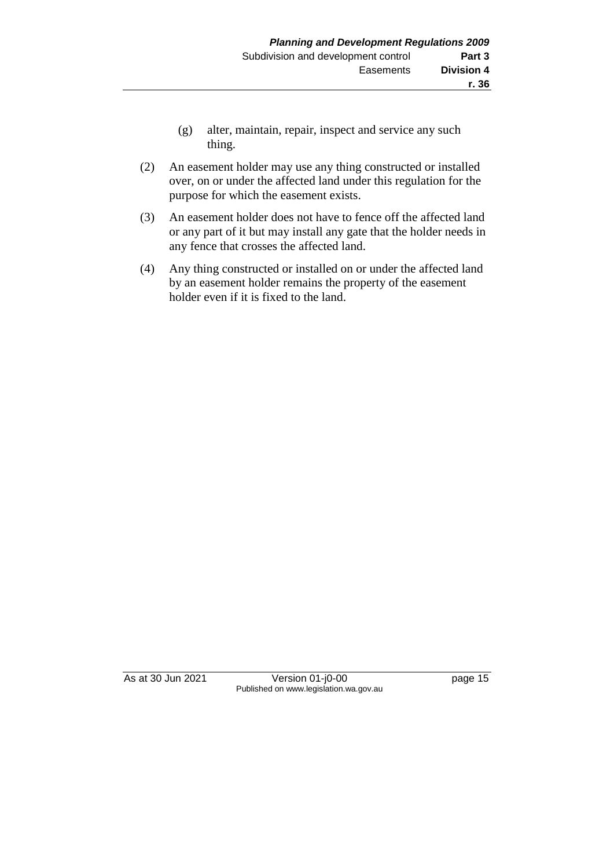- (g) alter, maintain, repair, inspect and service any such thing.
- (2) An easement holder may use any thing constructed or installed over, on or under the affected land under this regulation for the purpose for which the easement exists.
- (3) An easement holder does not have to fence off the affected land or any part of it but may install any gate that the holder needs in any fence that crosses the affected land.
- (4) Any thing constructed or installed on or under the affected land by an easement holder remains the property of the easement holder even if it is fixed to the land.

As at 30 Jun 2021 Version 01-j0-00 page 15 Published on www.legislation.wa.gov.au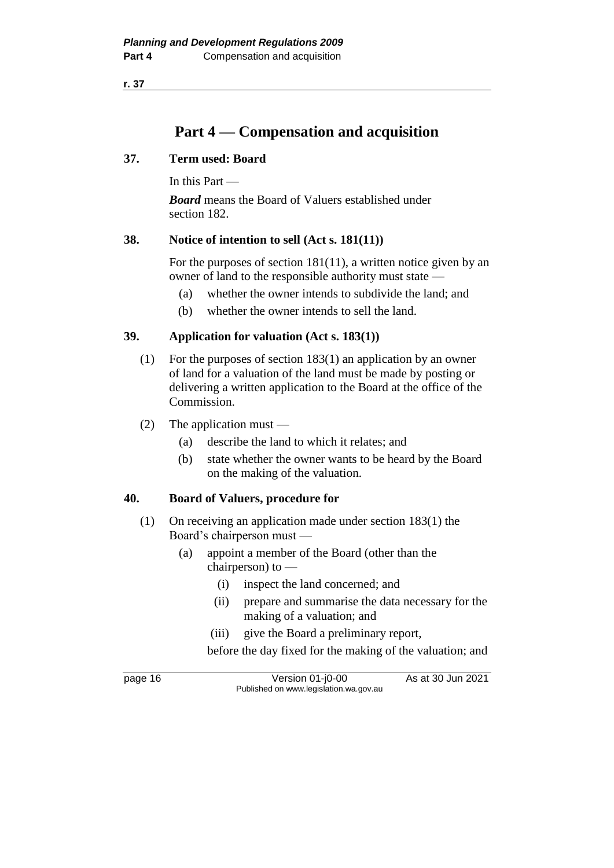**r. 37**

# **Part 4 — Compensation and acquisition**

### **37. Term used: Board**

In this Part —

*Board* means the Board of Valuers established under section 182.

### **38. Notice of intention to sell (Act s. 181(11))**

For the purposes of section 181(11), a written notice given by an owner of land to the responsible authority must state —

- (a) whether the owner intends to subdivide the land; and
- (b) whether the owner intends to sell the land.

### **39. Application for valuation (Act s. 183(1))**

- (1) For the purposes of section 183(1) an application by an owner of land for a valuation of the land must be made by posting or delivering a written application to the Board at the office of the Commission.
- (2) The application must
	- (a) describe the land to which it relates; and
	- (b) state whether the owner wants to be heard by the Board on the making of the valuation.

### **40. Board of Valuers, procedure for**

- (1) On receiving an application made under section 183(1) the Board's chairperson must —
	- (a) appoint a member of the Board (other than the chairperson) to —
		- (i) inspect the land concerned; and
		- (ii) prepare and summarise the data necessary for the making of a valuation; and
		- (iii) give the Board a preliminary report,

before the day fixed for the making of the valuation; and

page 16 Version 01-j0-00 As at 30 Jun 2021 Published on www.legislation.wa.gov.au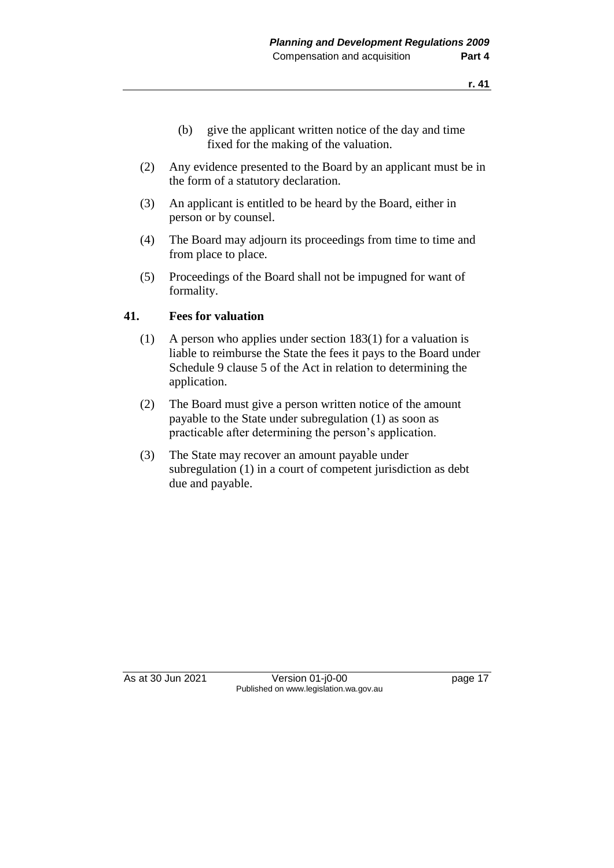- (b) give the applicant written notice of the day and time fixed for the making of the valuation.
- (2) Any evidence presented to the Board by an applicant must be in the form of a statutory declaration.
- (3) An applicant is entitled to be heard by the Board, either in person or by counsel.
- (4) The Board may adjourn its proceedings from time to time and from place to place.
- (5) Proceedings of the Board shall not be impugned for want of formality.

### **41. Fees for valuation**

- (1) A person who applies under section 183(1) for a valuation is liable to reimburse the State the fees it pays to the Board under Schedule 9 clause 5 of the Act in relation to determining the application.
- (2) The Board must give a person written notice of the amount payable to the State under subregulation (1) as soon as practicable after determining the person's application.
- (3) The State may recover an amount payable under subregulation (1) in a court of competent jurisdiction as debt due and payable.

As at 30 Jun 2021 Version 01-j0-00 page 17 Published on www.legislation.wa.gov.au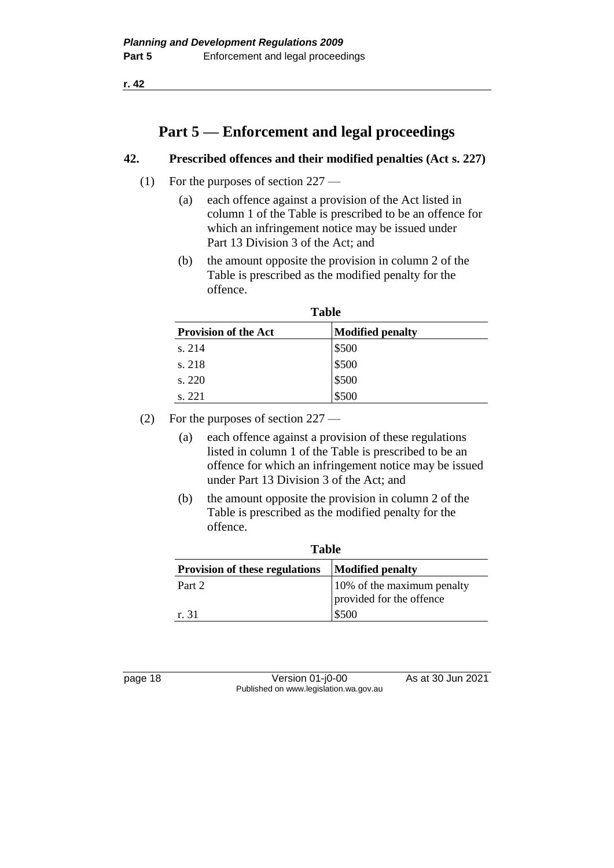**r. 42**

# **Part 5 — Enforcement and legal proceedings**

## **42. Prescribed offences and their modified penalties (Act s. 227)**

- (1) For the purposes of section 227
	- (a) each offence against a provision of the Act listed in column 1 of the Table is prescribed to be an offence for which an infringement notice may be issued under Part 13 Division 3 of the Act; and
	- (b) the amount opposite the provision in column 2 of the Table is prescribed as the modified penalty for the offence.

| <b>Table</b>                |                         |  |  |
|-----------------------------|-------------------------|--|--|
| <b>Provision of the Act</b> | <b>Modified penalty</b> |  |  |
| s. 214                      | \$500                   |  |  |
| s. 218                      | \$500                   |  |  |
| s. 220                      | \$500                   |  |  |
| s. 221                      | \$500                   |  |  |

- (2) For the purposes of section 227
	- (a) each offence against a provision of these regulations listed in column 1 of the Table is prescribed to be an offence for which an infringement notice may be issued under Part 13 Division 3 of the Act; and
	- (b) the amount opposite the provision in column 2 of the Table is prescribed as the modified penalty for the offence.

| Table                                                            |                                                        |  |  |
|------------------------------------------------------------------|--------------------------------------------------------|--|--|
| <b>Provision of these regulations</b><br><b>Modified penalty</b> |                                                        |  |  |
| Part 2                                                           | 10% of the maximum penalty<br>provided for the offence |  |  |
| r. 31                                                            | \$500                                                  |  |  |

| 18<br>page |  |
|------------|--|
|------------|--|

page 18 Version 01-j0-00 As at 30 Jun 2021 Published on www.legislation.wa.gov.au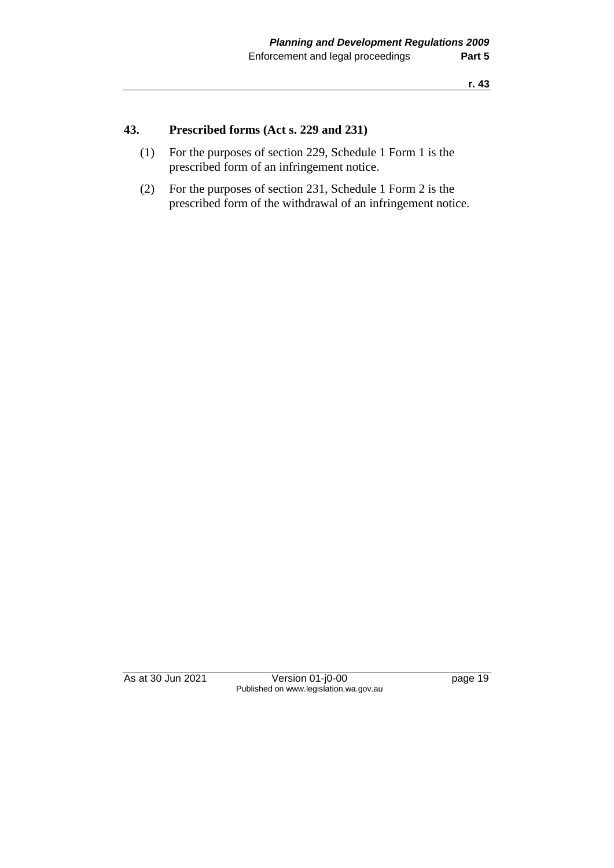# **43. Prescribed forms (Act s. 229 and 231)**

- (1) For the purposes of section 229, Schedule 1 Form 1 is the prescribed form of an infringement notice.
- (2) For the purposes of section 231, Schedule 1 Form 2 is the prescribed form of the withdrawal of an infringement notice.

As at 30 Jun 2021 Version 01-j0-00 page 19 Published on www.legislation.wa.gov.au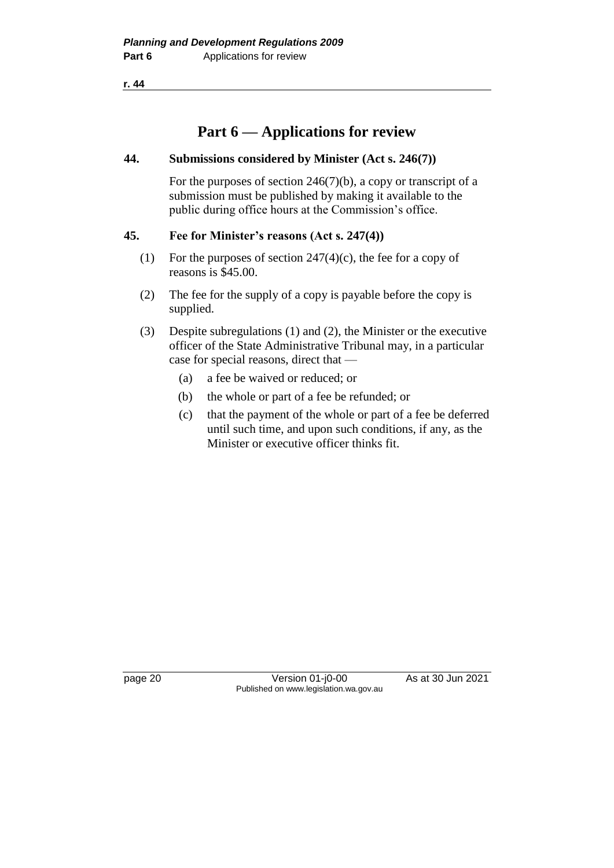**r. 44**

# **Part 6 — Applications for review**

### **44. Submissions considered by Minister (Act s. 246(7))**

For the purposes of section 246(7)(b), a copy or transcript of a submission must be published by making it available to the public during office hours at the Commission's office.

### **45. Fee for Minister's reasons (Act s. 247(4))**

- (1) For the purposes of section  $247(4)(c)$ , the fee for a copy of reasons is \$45.00.
- (2) The fee for the supply of a copy is payable before the copy is supplied.
- (3) Despite subregulations (1) and (2), the Minister or the executive officer of the State Administrative Tribunal may, in a particular case for special reasons, direct that —
	- (a) a fee be waived or reduced; or
	- (b) the whole or part of a fee be refunded; or
	- (c) that the payment of the whole or part of a fee be deferred until such time, and upon such conditions, if any, as the Minister or executive officer thinks fit.

page 20 Version 01-j0-00 As at 30 Jun 2021 Published on www.legislation.wa.gov.au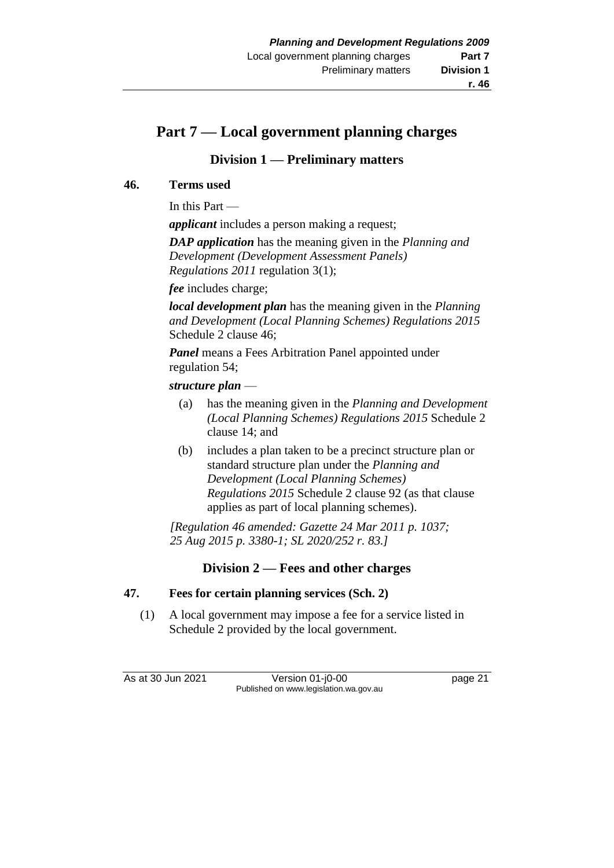# **Part 7 — Local government planning charges**

# **Division 1 — Preliminary matters**

# **46. Terms used**

In this Part —

*applicant* includes a person making a request;

*DAP application* has the meaning given in the *Planning and Development (Development Assessment Panels) Regulations 2011* regulation 3(1);

*fee* includes charge;

*local development plan* has the meaning given in the *Planning and Development (Local Planning Schemes) Regulations 2015* Schedule 2 clause 46;

*Panel* means a Fees Arbitration Panel appointed under regulation 54;

# *structure plan* —

- (a) has the meaning given in the *Planning and Development (Local Planning Schemes) Regulations 2015* Schedule 2 clause 14; and
- (b) includes a plan taken to be a precinct structure plan or standard structure plan under the *Planning and Development (Local Planning Schemes) Regulations 2015* Schedule 2 clause 92 (as that clause applies as part of local planning schemes).

*[Regulation 46 amended: Gazette 24 Mar 2011 p. 1037; 25 Aug 2015 p. 3380-1; SL 2020/252 r. 83.]*

# **Division 2 — Fees and other charges**

## **47. Fees for certain planning services (Sch. 2)**

(1) A local government may impose a fee for a service listed in Schedule 2 provided by the local government.

As at 30 Jun 2021 Version 01-j0-00 Page 21 Published on www.legislation.wa.gov.au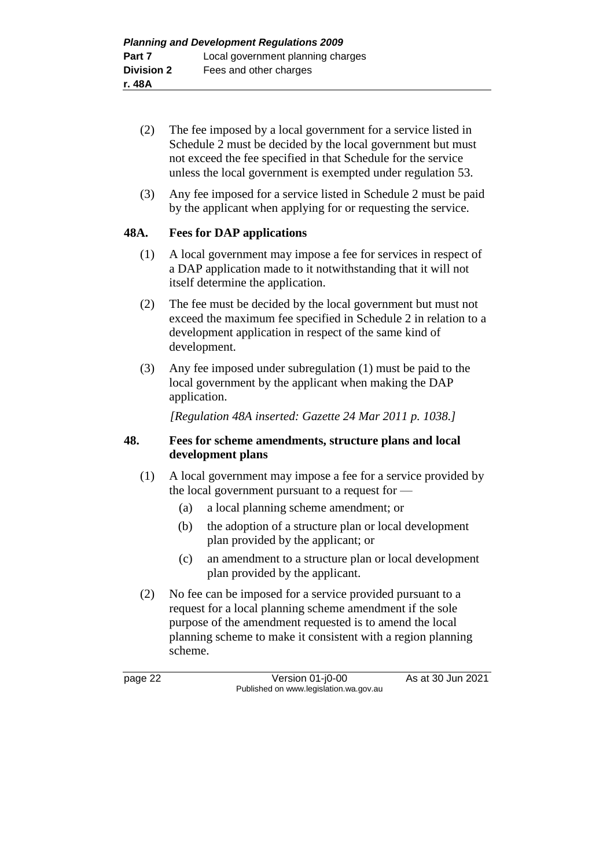- (2) The fee imposed by a local government for a service listed in Schedule 2 must be decided by the local government but must not exceed the fee specified in that Schedule for the service unless the local government is exempted under regulation 53.
- (3) Any fee imposed for a service listed in Schedule 2 must be paid by the applicant when applying for or requesting the service.

### **48A. Fees for DAP applications**

- (1) A local government may impose a fee for services in respect of a DAP application made to it notwithstanding that it will not itself determine the application.
- (2) The fee must be decided by the local government but must not exceed the maximum fee specified in Schedule 2 in relation to a development application in respect of the same kind of development.
- (3) Any fee imposed under subregulation (1) must be paid to the local government by the applicant when making the DAP application.

*[Regulation 48A inserted: Gazette 24 Mar 2011 p. 1038.]*

### **48. Fees for scheme amendments, structure plans and local development plans**

- (1) A local government may impose a fee for a service provided by the local government pursuant to a request for —
	- (a) a local planning scheme amendment; or
	- (b) the adoption of a structure plan or local development plan provided by the applicant; or
	- (c) an amendment to a structure plan or local development plan provided by the applicant.
- (2) No fee can be imposed for a service provided pursuant to a request for a local planning scheme amendment if the sole purpose of the amendment requested is to amend the local planning scheme to make it consistent with a region planning scheme.

page 22 Version 01-j0-00 As at 30 Jun 2021 Published on www.legislation.wa.gov.au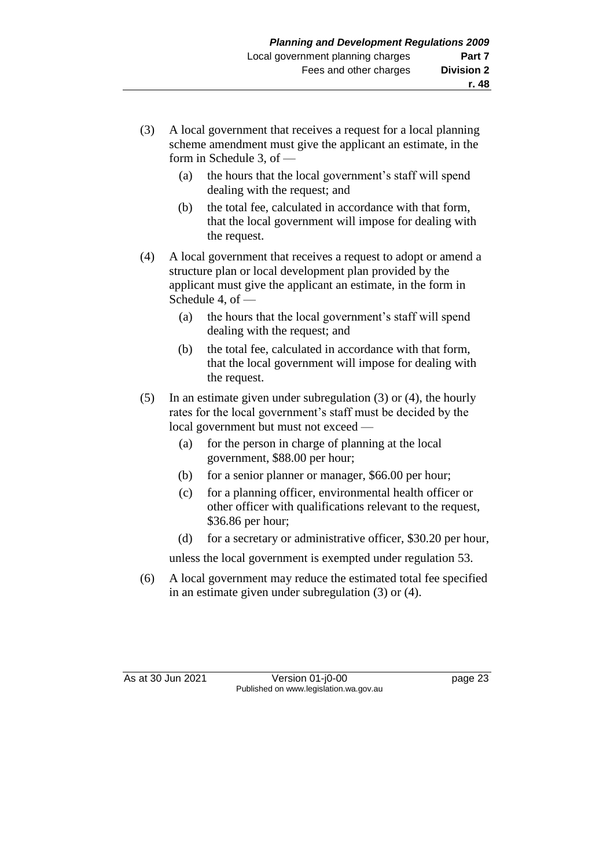- (3) A local government that receives a request for a local planning scheme amendment must give the applicant an estimate, in the form in Schedule 3, of —
	- (a) the hours that the local government's staff will spend dealing with the request; and
	- (b) the total fee, calculated in accordance with that form, that the local government will impose for dealing with the request.
- (4) A local government that receives a request to adopt or amend a structure plan or local development plan provided by the applicant must give the applicant an estimate, in the form in Schedule 4, of —
	- (a) the hours that the local government's staff will spend dealing with the request; and
	- (b) the total fee, calculated in accordance with that form, that the local government will impose for dealing with the request.
- (5) In an estimate given under subregulation (3) or (4), the hourly rates for the local government's staff must be decided by the local government but must not exceed —
	- (a) for the person in charge of planning at the local government, \$88.00 per hour;
	- (b) for a senior planner or manager, \$66.00 per hour;
	- (c) for a planning officer, environmental health officer or other officer with qualifications relevant to the request, \$36.86 per hour;
	- (d) for a secretary or administrative officer, \$30.20 per hour,

unless the local government is exempted under regulation 53.

(6) A local government may reduce the estimated total fee specified in an estimate given under subregulation (3) or (4).

As at 30 Jun 2021 Version 01-j0-00 Page 23 Published on www.legislation.wa.gov.au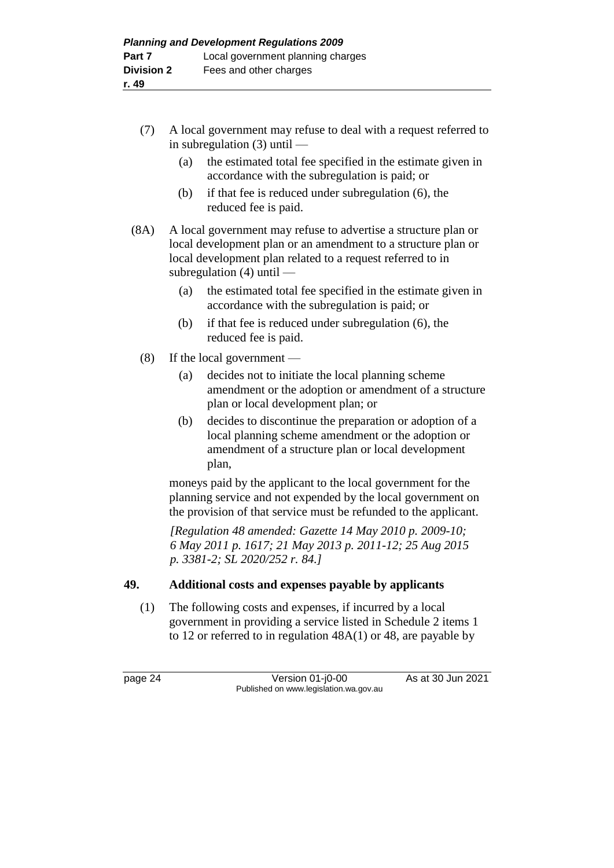- (7) A local government may refuse to deal with a request referred to in subregulation (3) until —
	- (a) the estimated total fee specified in the estimate given in accordance with the subregulation is paid; or
	- (b) if that fee is reduced under subregulation (6), the reduced fee is paid.
- (8A) A local government may refuse to advertise a structure plan or local development plan or an amendment to a structure plan or local development plan related to a request referred to in subregulation (4) until —
	- (a) the estimated total fee specified in the estimate given in accordance with the subregulation is paid; or
	- (b) if that fee is reduced under subregulation (6), the reduced fee is paid.
	- (8) If the local government
		- (a) decides not to initiate the local planning scheme amendment or the adoption or amendment of a structure plan or local development plan; or
		- (b) decides to discontinue the preparation or adoption of a local planning scheme amendment or the adoption or amendment of a structure plan or local development plan,

moneys paid by the applicant to the local government for the planning service and not expended by the local government on the provision of that service must be refunded to the applicant.

*[Regulation 48 amended: Gazette 14 May 2010 p. 2009-10; 6 May 2011 p. 1617; 21 May 2013 p. 2011-12; 25 Aug 2015 p. 3381-2; SL 2020/252 r. 84.]*

## **49. Additional costs and expenses payable by applicants**

(1) The following costs and expenses, if incurred by a local government in providing a service listed in Schedule 2 items 1 to 12 or referred to in regulation 48A(1) or 48, are payable by

page 24 Version 01-j0-00 As at 30 Jun 2021 Published on www.legislation.wa.gov.au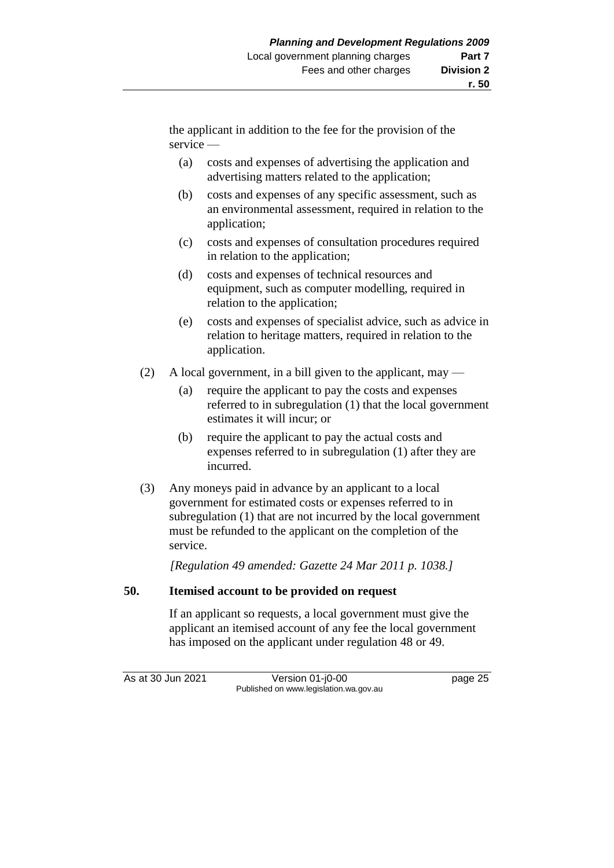the applicant in addition to the fee for the provision of the service —

- (a) costs and expenses of advertising the application and advertising matters related to the application;
- (b) costs and expenses of any specific assessment, such as an environmental assessment, required in relation to the application;
- (c) costs and expenses of consultation procedures required in relation to the application;
- (d) costs and expenses of technical resources and equipment, such as computer modelling, required in relation to the application;
- (e) costs and expenses of specialist advice, such as advice in relation to heritage matters, required in relation to the application.
- (2) A local government, in a bill given to the applicant, may
	- (a) require the applicant to pay the costs and expenses referred to in subregulation (1) that the local government estimates it will incur; or
	- (b) require the applicant to pay the actual costs and expenses referred to in subregulation (1) after they are incurred.
- (3) Any moneys paid in advance by an applicant to a local government for estimated costs or expenses referred to in subregulation (1) that are not incurred by the local government must be refunded to the applicant on the completion of the service.

*[Regulation 49 amended: Gazette 24 Mar 2011 p. 1038.]*

## **50. Itemised account to be provided on request**

If an applicant so requests, a local government must give the applicant an itemised account of any fee the local government has imposed on the applicant under regulation 48 or 49.

As at 30 Jun 2021 Version 01-j0-00 Page 25 Published on www.legislation.wa.gov.au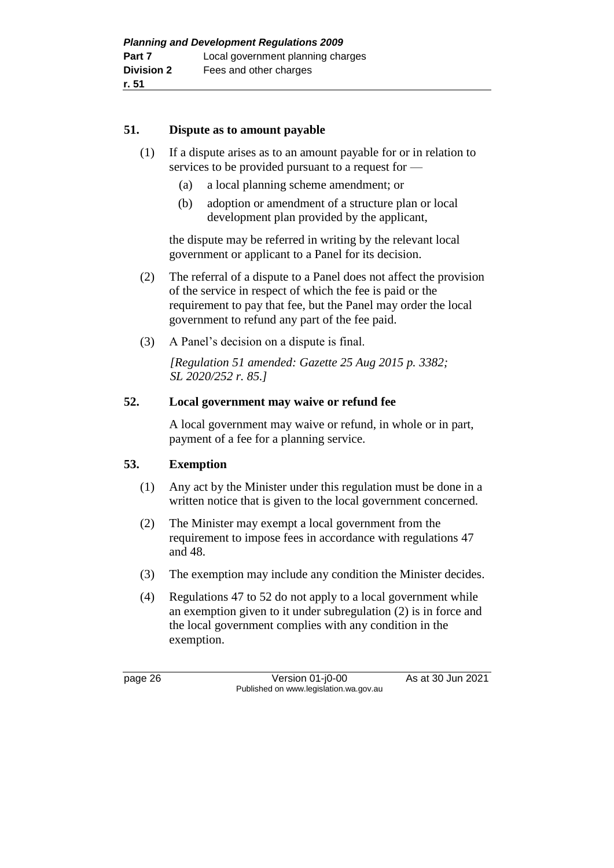### **51. Dispute as to amount payable**

- (1) If a dispute arises as to an amount payable for or in relation to services to be provided pursuant to a request for —
	- (a) a local planning scheme amendment; or
	- (b) adoption or amendment of a structure plan or local development plan provided by the applicant,

the dispute may be referred in writing by the relevant local government or applicant to a Panel for its decision.

- (2) The referral of a dispute to a Panel does not affect the provision of the service in respect of which the fee is paid or the requirement to pay that fee, but the Panel may order the local government to refund any part of the fee paid.
- (3) A Panel's decision on a dispute is final.

*[Regulation 51 amended: Gazette 25 Aug 2015 p. 3382; SL 2020/252 r. 85.]*

### **52. Local government may waive or refund fee**

A local government may waive or refund, in whole or in part, payment of a fee for a planning service.

## **53. Exemption**

- (1) Any act by the Minister under this regulation must be done in a written notice that is given to the local government concerned.
- (2) The Minister may exempt a local government from the requirement to impose fees in accordance with regulations 47 and 48.
- (3) The exemption may include any condition the Minister decides.
- (4) Regulations 47 to 52 do not apply to a local government while an exemption given to it under subregulation (2) is in force and the local government complies with any condition in the exemption.

page 26 Version 01-j0-00 As at 30 Jun 2021 Published on www.legislation.wa.gov.au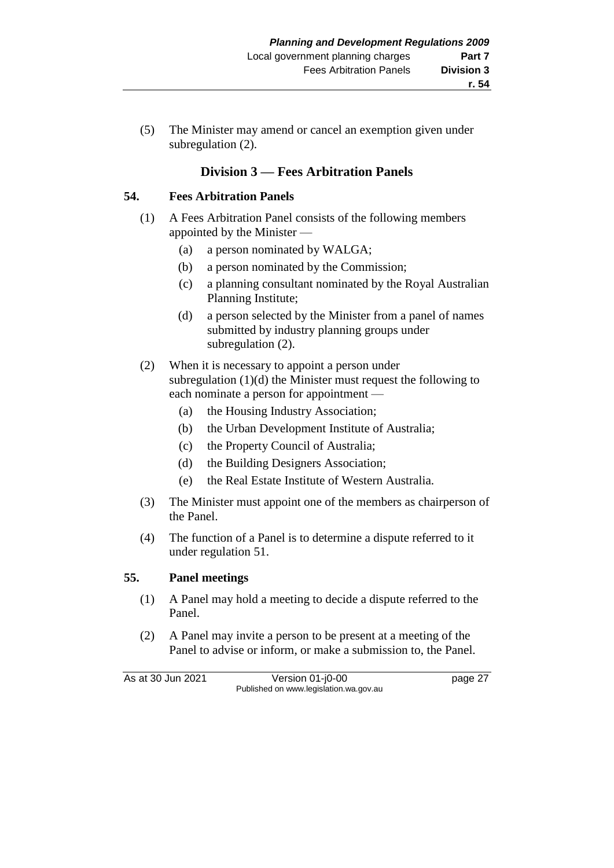(5) The Minister may amend or cancel an exemption given under subregulation  $(2)$ .

# **Division 3 — Fees Arbitration Panels**

### **54. Fees Arbitration Panels**

- (1) A Fees Arbitration Panel consists of the following members appointed by the Minister —
	- (a) a person nominated by WALGA;
	- (b) a person nominated by the Commission;
	- (c) a planning consultant nominated by the Royal Australian Planning Institute;
	- (d) a person selected by the Minister from a panel of names submitted by industry planning groups under subregulation  $(2)$ .
- (2) When it is necessary to appoint a person under subregulation (1)(d) the Minister must request the following to each nominate a person for appointment —
	- (a) the Housing Industry Association;
	- (b) the Urban Development Institute of Australia;
	- (c) the Property Council of Australia;
	- (d) the Building Designers Association;
	- (e) the Real Estate Institute of Western Australia.
- (3) The Minister must appoint one of the members as chairperson of the Panel.
- (4) The function of a Panel is to determine a dispute referred to it under regulation 51.

### **55. Panel meetings**

- (1) A Panel may hold a meeting to decide a dispute referred to the Panel.
- (2) A Panel may invite a person to be present at a meeting of the Panel to advise or inform, or make a submission to, the Panel.

As at 30 Jun 2021 Version 01-j0-00 page 27 Published on www.legislation.wa.gov.au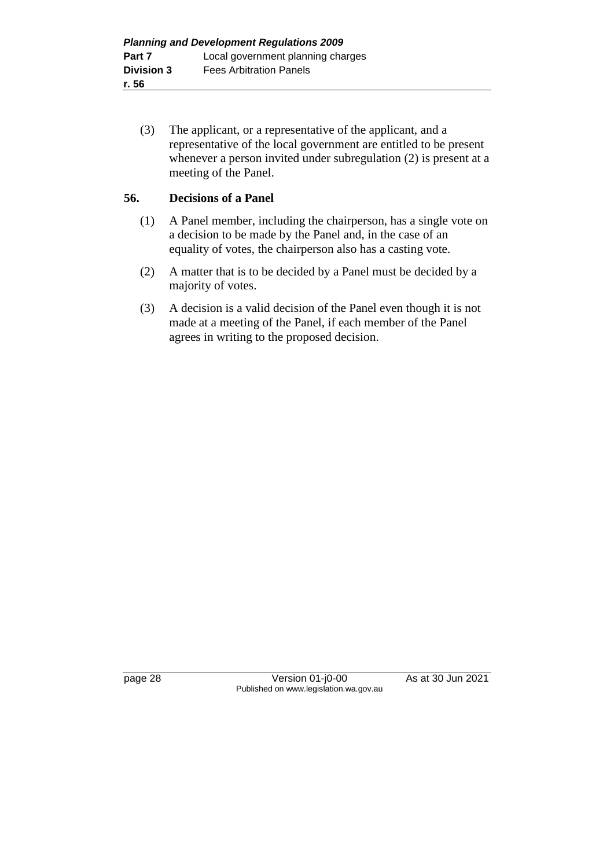(3) The applicant, or a representative of the applicant, and a representative of the local government are entitled to be present whenever a person invited under subregulation (2) is present at a meeting of the Panel.

## **56. Decisions of a Panel**

- (1) A Panel member, including the chairperson, has a single vote on a decision to be made by the Panel and, in the case of an equality of votes, the chairperson also has a casting vote.
- (2) A matter that is to be decided by a Panel must be decided by a majority of votes.
- (3) A decision is a valid decision of the Panel even though it is not made at a meeting of the Panel, if each member of the Panel agrees in writing to the proposed decision.

page 28 Version 01-j0-00 As at 30 Jun 2021 Published on www.legislation.wa.gov.au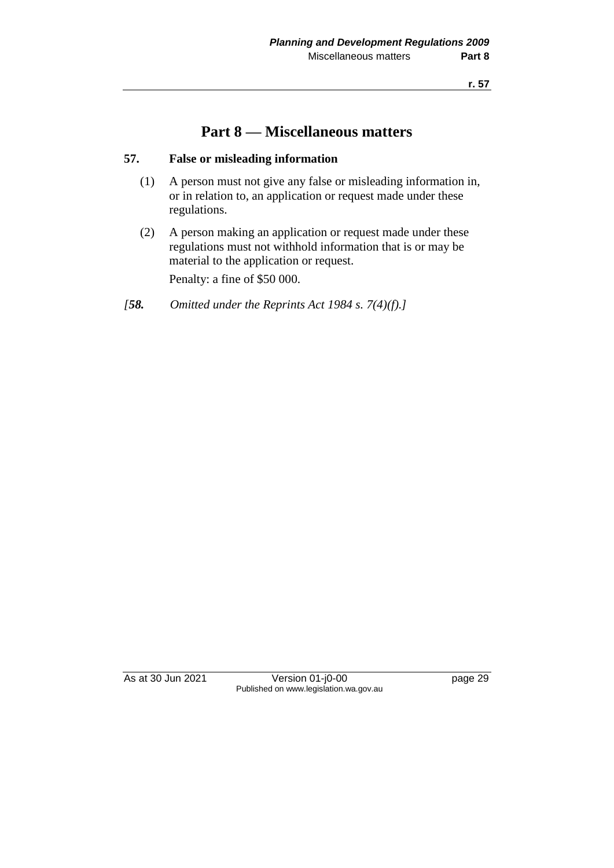# **Part 8 — Miscellaneous matters**

# **57. False or misleading information**

- (1) A person must not give any false or misleading information in, or in relation to, an application or request made under these regulations.
- (2) A person making an application or request made under these regulations must not withhold information that is or may be material to the application or request.

Penalty: a fine of \$50 000.

*[58. Omitted under the Reprints Act 1984 s. 7(4)(f).]*

As at 30 Jun 2021 Version 01-j0-00 page 29 Published on www.legislation.wa.gov.au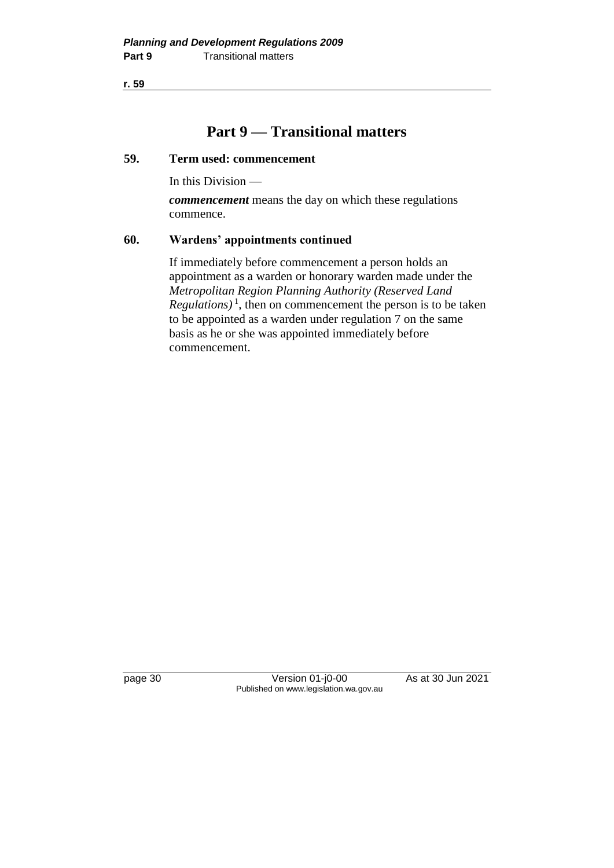**r. 59**

# **Part 9 — Transitional matters**

### **59. Term used: commencement**

In this Division —

*commencement* means the day on which these regulations commence.

### **60. Wardens' appointments continued**

If immediately before commencement a person holds an appointment as a warden or honorary warden made under the *Metropolitan Region Planning Authority (Reserved Land*   $Regularions)$ <sup>1</sup>, then on commencement the person is to be taken to be appointed as a warden under regulation 7 on the same basis as he or she was appointed immediately before commencement.

page 30 Version 01-j0-00 As at 30 Jun 2021 Published on www.legislation.wa.gov.au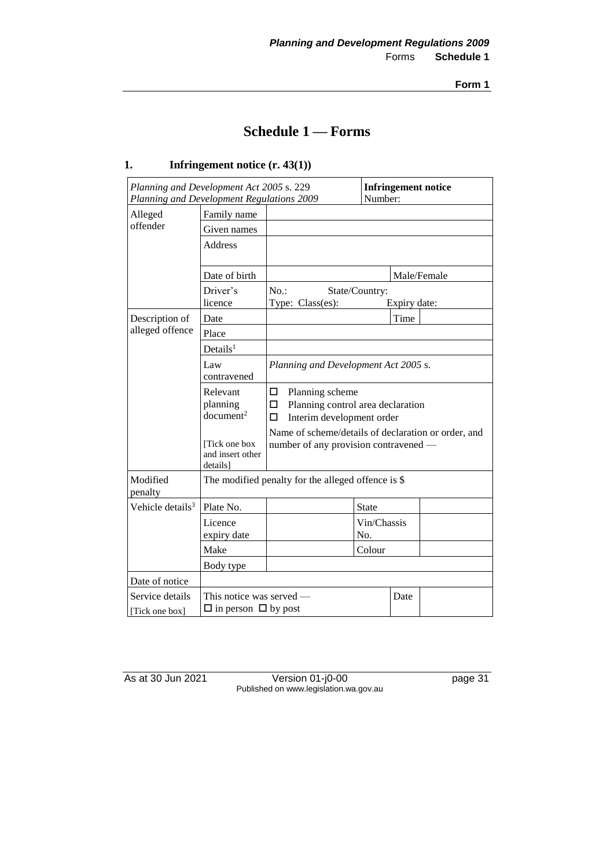**Form 1**

# **Schedule 1 — Forms**

### **1. Infringement notice (r. 43(1))**

| Planning and Development Act 2005 s. 229<br>Planning and Development Regulations 2009            |                                                             |                                                                                                                                                                                   | Number:            |              | <b>Infringement notice</b> |
|--------------------------------------------------------------------------------------------------|-------------------------------------------------------------|-----------------------------------------------------------------------------------------------------------------------------------------------------------------------------------|--------------------|--------------|----------------------------|
| Alleged                                                                                          | Family name                                                 |                                                                                                                                                                                   |                    |              |                            |
| offender                                                                                         | Given names                                                 |                                                                                                                                                                                   |                    |              |                            |
|                                                                                                  | <b>Address</b>                                              |                                                                                                                                                                                   |                    |              |                            |
|                                                                                                  | Date of birth                                               |                                                                                                                                                                                   |                    |              | Male/Female                |
|                                                                                                  | Driver's<br>licence                                         | No.<br>Type: Class(es):                                                                                                                                                           | State/Country:     | Expiry date: |                            |
| Description of                                                                                   | Date                                                        |                                                                                                                                                                                   |                    | Time         |                            |
| alleged offence                                                                                  | Place                                                       |                                                                                                                                                                                   |                    |              |                            |
|                                                                                                  | Details <sup>1</sup>                                        |                                                                                                                                                                                   |                    |              |                            |
|                                                                                                  | Law<br>contravened                                          | Planning and Development Act 2005 s.                                                                                                                                              |                    |              |                            |
| Relevant<br>□<br>planning<br>□<br>document <sup>2</sup><br>П<br>Tick one box<br>and insert other |                                                             | Planning scheme<br>Planning control area declaration<br>Interim development order<br>Name of scheme/details of declaration or order, and<br>number of any provision contravened — |                    |              |                            |
| Modified<br>penalty                                                                              | detailsl                                                    | The modified penalty for the alleged offence is \$                                                                                                                                |                    |              |                            |
| Vehicle details <sup>3</sup>                                                                     | Plate No.                                                   |                                                                                                                                                                                   | <b>State</b>       |              |                            |
|                                                                                                  | Licence<br>expiry date                                      |                                                                                                                                                                                   | Vin/Chassis<br>No. |              |                            |
|                                                                                                  | Make                                                        |                                                                                                                                                                                   | Colour             |              |                            |
|                                                                                                  | Body type                                                   |                                                                                                                                                                                   |                    |              |                            |
| Date of notice                                                                                   |                                                             |                                                                                                                                                                                   |                    |              |                            |
| Service details<br>[Tick one box]                                                                | This notice was served —<br>$\Box$ in person $\Box$ by post |                                                                                                                                                                                   |                    | Date         |                            |

As at 30 Jun 2021 Version 01-j0-00 page 31 Published on www.legislation.wa.gov.au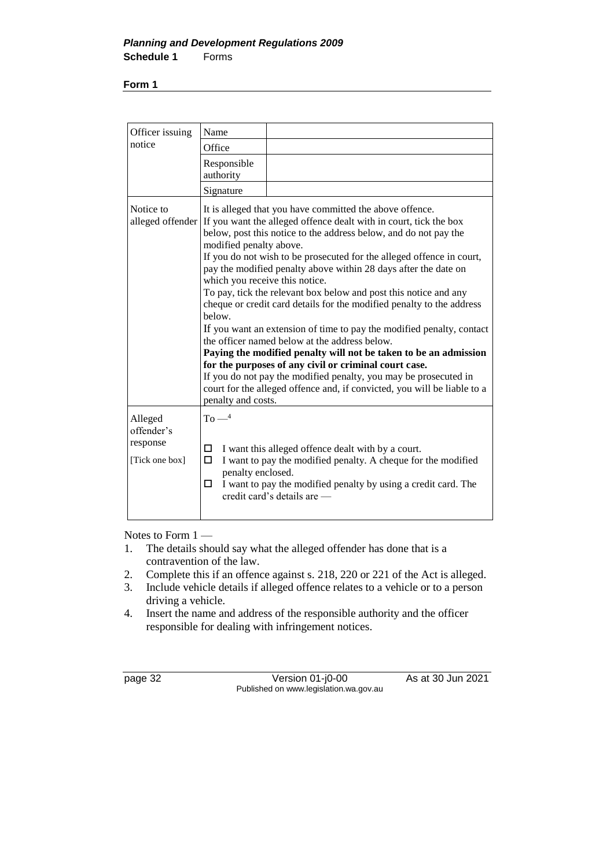#### **Form 1**

| Officer issuing                                     | Name                                                                                                                                                                                                                                                                                                                                                                                                                                                                                                                                                                                                                                                                                                                                                                                                                                                                                                                                                                                                            |  |
|-----------------------------------------------------|-----------------------------------------------------------------------------------------------------------------------------------------------------------------------------------------------------------------------------------------------------------------------------------------------------------------------------------------------------------------------------------------------------------------------------------------------------------------------------------------------------------------------------------------------------------------------------------------------------------------------------------------------------------------------------------------------------------------------------------------------------------------------------------------------------------------------------------------------------------------------------------------------------------------------------------------------------------------------------------------------------------------|--|
| notice                                              | Office                                                                                                                                                                                                                                                                                                                                                                                                                                                                                                                                                                                                                                                                                                                                                                                                                                                                                                                                                                                                          |  |
|                                                     | Responsible<br>authority                                                                                                                                                                                                                                                                                                                                                                                                                                                                                                                                                                                                                                                                                                                                                                                                                                                                                                                                                                                        |  |
|                                                     | Signature                                                                                                                                                                                                                                                                                                                                                                                                                                                                                                                                                                                                                                                                                                                                                                                                                                                                                                                                                                                                       |  |
| Notice to                                           | It is alleged that you have committed the above offence.<br>alleged offender If you want the alleged offence dealt with in court, tick the box<br>below, post this notice to the address below, and do not pay the<br>modified penalty above.<br>If you do not wish to be prosecuted for the alleged offence in court,<br>pay the modified penalty above within 28 days after the date on<br>which you receive this notice.<br>To pay, tick the relevant box below and post this notice and any<br>cheque or credit card details for the modified penalty to the address<br>below.<br>If you want an extension of time to pay the modified penalty, contact<br>the officer named below at the address below.<br>Paying the modified penalty will not be taken to be an admission<br>for the purposes of any civil or criminal court case.<br>If you do not pay the modified penalty, you may be prosecuted in<br>court for the alleged offence and, if convicted, you will be liable to a<br>penalty and costs. |  |
| Alleged<br>offender's<br>response<br>[Tick one box] | $To-4$<br>I want this alleged offence dealt with by a court.<br>□<br>I want to pay the modified penalty. A cheque for the modified<br>□<br>penalty enclosed.<br>I want to pay the modified penalty by using a credit card. The<br>п<br>credit card's details are -                                                                                                                                                                                                                                                                                                                                                                                                                                                                                                                                                                                                                                                                                                                                              |  |

Notes to Form 1 —

- 1. The details should say what the alleged offender has done that is a contravention of the law.
- 2. Complete this if an offence against s. 218, 220 or 221 of the Act is alleged.
- 3. Include vehicle details if alleged offence relates to a vehicle or to a person driving a vehicle.
- 4. Insert the name and address of the responsible authority and the officer responsible for dealing with infringement notices.

| page |  |
|------|--|
|------|--|

Version 01-j0-00 As at 30 Jun 2021 Published on www.legislation.wa.gov.au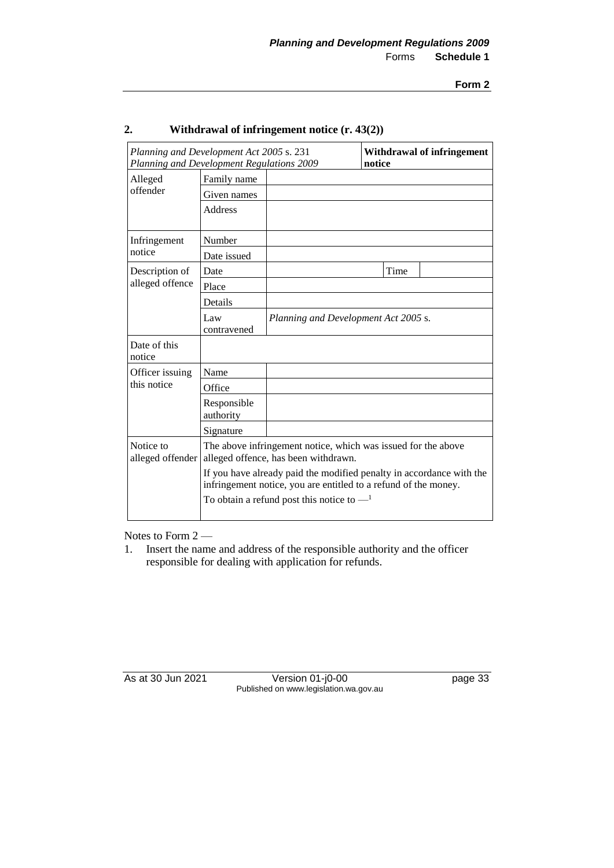| Planning and Development Act 2005 s. 231<br>Planning and Development Regulations 2009 |                                                                                                                                                                                                                                                                                                 |                                      | notice | <b>Withdrawal of infringement</b> |
|---------------------------------------------------------------------------------------|-------------------------------------------------------------------------------------------------------------------------------------------------------------------------------------------------------------------------------------------------------------------------------------------------|--------------------------------------|--------|-----------------------------------|
| Alleged                                                                               | Family name                                                                                                                                                                                                                                                                                     |                                      |        |                                   |
| offender                                                                              | Given names                                                                                                                                                                                                                                                                                     |                                      |        |                                   |
|                                                                                       | <b>Address</b>                                                                                                                                                                                                                                                                                  |                                      |        |                                   |
| Infringement                                                                          | Number                                                                                                                                                                                                                                                                                          |                                      |        |                                   |
| notice                                                                                | Date issued                                                                                                                                                                                                                                                                                     |                                      |        |                                   |
| Description of                                                                        | Date                                                                                                                                                                                                                                                                                            |                                      | Time   |                                   |
| alleged offence                                                                       | Place                                                                                                                                                                                                                                                                                           |                                      |        |                                   |
|                                                                                       | Details                                                                                                                                                                                                                                                                                         |                                      |        |                                   |
|                                                                                       | Law<br>contravened                                                                                                                                                                                                                                                                              | Planning and Development Act 2005 s. |        |                                   |
| Date of this<br>notice                                                                |                                                                                                                                                                                                                                                                                                 |                                      |        |                                   |
| Officer issuing                                                                       | Name                                                                                                                                                                                                                                                                                            |                                      |        |                                   |
| this notice                                                                           | Office                                                                                                                                                                                                                                                                                          |                                      |        |                                   |
|                                                                                       | Responsible<br>authority                                                                                                                                                                                                                                                                        |                                      |        |                                   |
|                                                                                       | Signature                                                                                                                                                                                                                                                                                       |                                      |        |                                   |
| Notice to<br>alleged offender                                                         | The above infringement notice, which was issued for the above<br>alleged offence, has been withdrawn.<br>If you have already paid the modified penalty in accordance with the<br>infringement notice, you are entitled to a refund of the money.<br>To obtain a refund post this notice to $-1$ |                                      |        |                                   |
|                                                                                       |                                                                                                                                                                                                                                                                                                 |                                      |        |                                   |

## **2. Withdrawal of infringement notice (r. 43(2))**

Notes to Form 2 —

1. Insert the name and address of the responsible authority and the officer responsible for dealing with application for refunds.

As at 30 Jun 2021 Version 01-j0-00 page 33 Published on www.legislation.wa.gov.au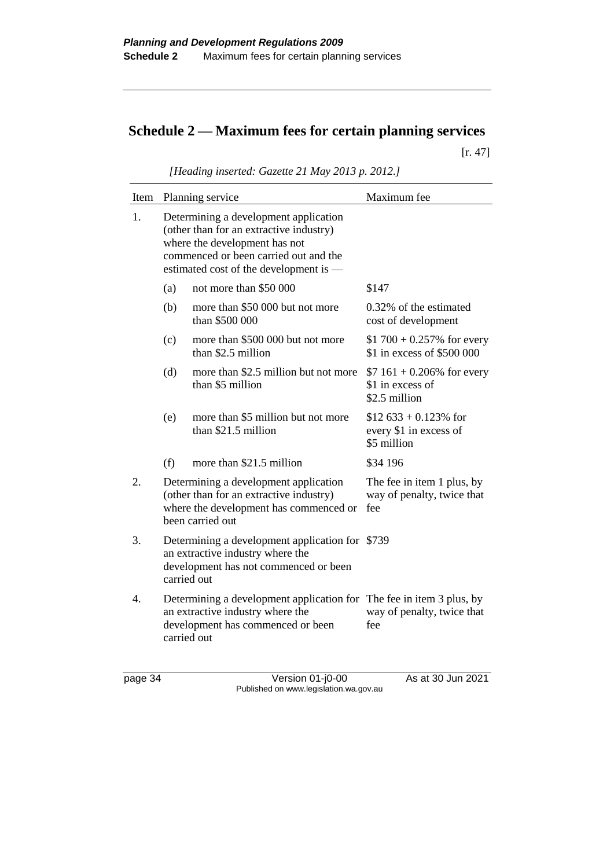# **Schedule 2 — Maximum fees for certain planning services**

[r. 47]

| Item |                                                                                                                                                                                                      | Planning service                                          | Maximum fee                                                       |
|------|------------------------------------------------------------------------------------------------------------------------------------------------------------------------------------------------------|-----------------------------------------------------------|-------------------------------------------------------------------|
| 1.   | Determining a development application<br>(other than for an extractive industry)<br>where the development has not<br>commenced or been carried out and the<br>estimated cost of the development is — |                                                           |                                                                   |
|      | (a)                                                                                                                                                                                                  | not more than \$50 000                                    | \$147                                                             |
|      | (b)                                                                                                                                                                                                  | more than \$50 000 but not more<br>than \$500 000         | 0.32% of the estimated<br>cost of development                     |
|      | (c)                                                                                                                                                                                                  | more than \$500 000 but not more<br>than \$2.5 million    | \$1 700 + 0.257% for every<br>\$1 in excess of \$500 000          |
|      | (d)                                                                                                                                                                                                  | more than \$2.5 million but not more<br>than \$5 million  | $$7 161 + 0.206\%$ for every<br>\$1 in excess of<br>\$2.5 million |
|      | (e)                                                                                                                                                                                                  | more than \$5 million but not more<br>than \$21.5 million | $$12\,633 + 0.123\%$ for<br>every \$1 in excess of<br>\$5 million |
|      | (f)                                                                                                                                                                                                  | more than \$21.5 million                                  | \$34 196                                                          |
| 2.   | Determining a development application<br>(other than for an extractive industry)<br>where the development has commenced or<br>been carried out                                                       |                                                           | The fee in item 1 plus, by<br>way of penalty, twice that<br>fee   |
| 3.   | Determining a development application for \$739<br>an extractive industry where the<br>development has not commenced or been<br>carried out                                                          |                                                           |                                                                   |
| 4.   | Determining a development application for The fee in item 3 plus, by<br>an extractive industry where the<br>development has commenced or been<br>carried out                                         |                                                           | way of penalty, twice that<br>fee                                 |

*[Heading inserted: Gazette 21 May 2013 p. 2012.]*

page 34 Version 01-j0-00 As at 30 Jun 2021 Published on www.legislation.wa.gov.au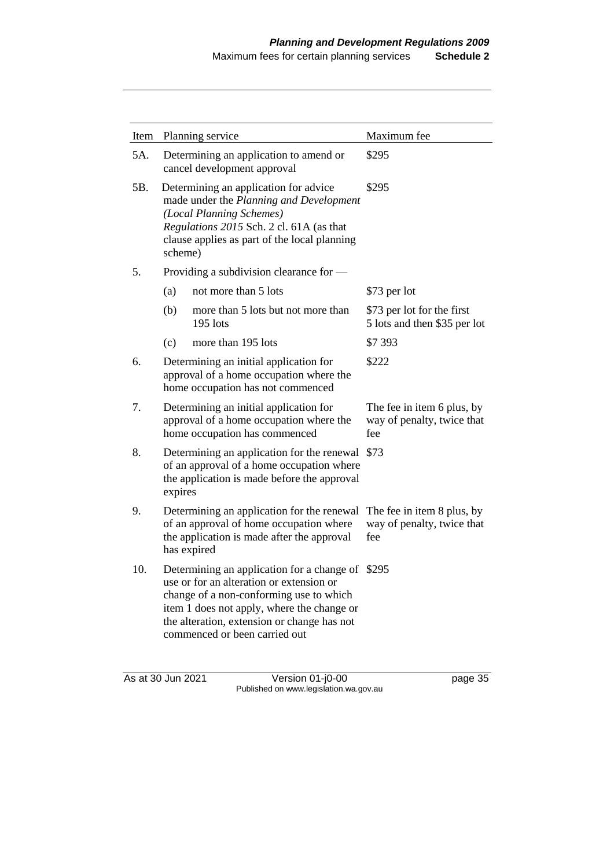| Item |                                                                                                                                                                                                                     | Planning service                                                                                                                                                                                                                                                      | Maximum fee                                                     |
|------|---------------------------------------------------------------------------------------------------------------------------------------------------------------------------------------------------------------------|-----------------------------------------------------------------------------------------------------------------------------------------------------------------------------------------------------------------------------------------------------------------------|-----------------------------------------------------------------|
| 5A.  | Determining an application to amend or<br>cancel development approval                                                                                                                                               |                                                                                                                                                                                                                                                                       | \$295                                                           |
| 5B.  | Determining an application for advice<br>made under the Planning and Development<br>(Local Planning Schemes)<br>Regulations 2015 Sch. 2 cl. 61A (as that<br>clause applies as part of the local planning<br>scheme) |                                                                                                                                                                                                                                                                       | \$295                                                           |
| 5.   |                                                                                                                                                                                                                     | Providing a subdivision clearance for —                                                                                                                                                                                                                               |                                                                 |
|      | (a)                                                                                                                                                                                                                 | not more than 5 lots                                                                                                                                                                                                                                                  | \$73 per lot                                                    |
|      | (b)                                                                                                                                                                                                                 | more than 5 lots but not more than<br>195 lots                                                                                                                                                                                                                        | \$73 per lot for the first<br>5 lots and then \$35 per lot      |
|      | (c)                                                                                                                                                                                                                 | more than 195 lots                                                                                                                                                                                                                                                    | \$7 393                                                         |
| 6.   |                                                                                                                                                                                                                     | Determining an initial application for<br>approval of a home occupation where the<br>home occupation has not commenced                                                                                                                                                | \$222                                                           |
| 7.   | Determining an initial application for<br>approval of a home occupation where the<br>home occupation has commenced                                                                                                  |                                                                                                                                                                                                                                                                       | The fee in item 6 plus, by<br>way of penalty, twice that<br>fee |
| 8.   | Determining an application for the renewal<br>of an approval of a home occupation where<br>the application is made before the approval<br>expires                                                                   |                                                                                                                                                                                                                                                                       | \$73                                                            |
| 9.   | Determining an application for the renewal<br>of an approval of home occupation where<br>the application is made after the approval<br>has expired                                                                  |                                                                                                                                                                                                                                                                       | The fee in item 8 plus, by<br>way of penalty, twice that<br>fee |
| 10.  |                                                                                                                                                                                                                     | Determining an application for a change of \$295<br>use or for an alteration or extension or<br>change of a non-conforming use to which<br>item 1 does not apply, where the change or<br>the alteration, extension or change has not<br>commenced or been carried out |                                                                 |

As at 30 Jun 2021 Version 01-j0-00 page 35 Published on www.legislation.wa.gov.au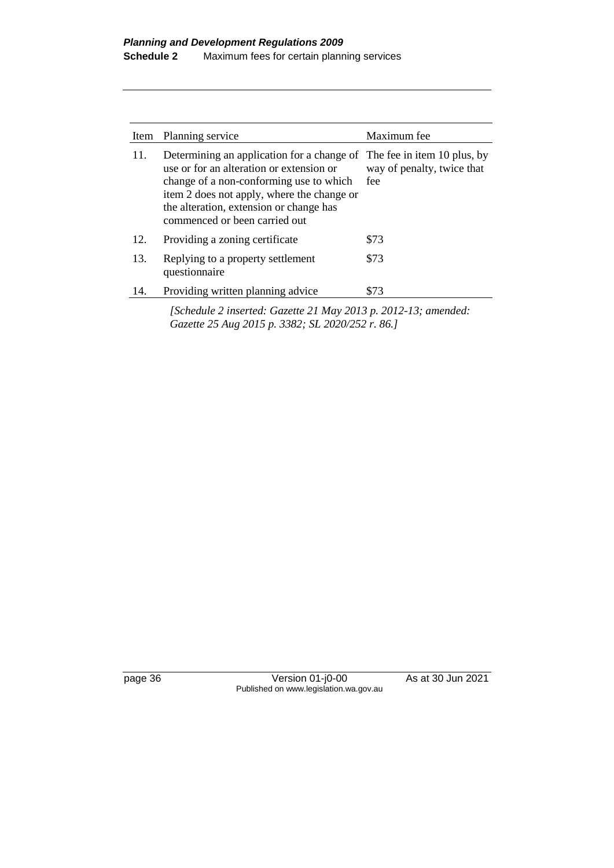| Item | Planning service                                                                                                                                                                                                                                                                        | Maximum fee                       |
|------|-----------------------------------------------------------------------------------------------------------------------------------------------------------------------------------------------------------------------------------------------------------------------------------------|-----------------------------------|
| 11.  | Determining an application for a change of The fee in item 10 plus, by<br>use or for an alteration or extension or<br>change of a non-conforming use to which<br>item 2 does not apply, where the change or<br>the alteration, extension or change has<br>commenced or been carried out | way of penalty, twice that<br>fee |
| 12.  | Providing a zoning certificate                                                                                                                                                                                                                                                          | \$73                              |
| 13.  | Replying to a property settlement<br>questionnaire                                                                                                                                                                                                                                      | \$73                              |
| 14.  | Providing written planning advice                                                                                                                                                                                                                                                       | \$73                              |

*[Schedule 2 inserted: Gazette 21 May 2013 p. 2012-13; amended: Gazette 25 Aug 2015 p. 3382; SL 2020/252 r. 86.]*

page 36 Version 01-j0-00 As at 30 Jun 2021 Published on www.legislation.wa.gov.au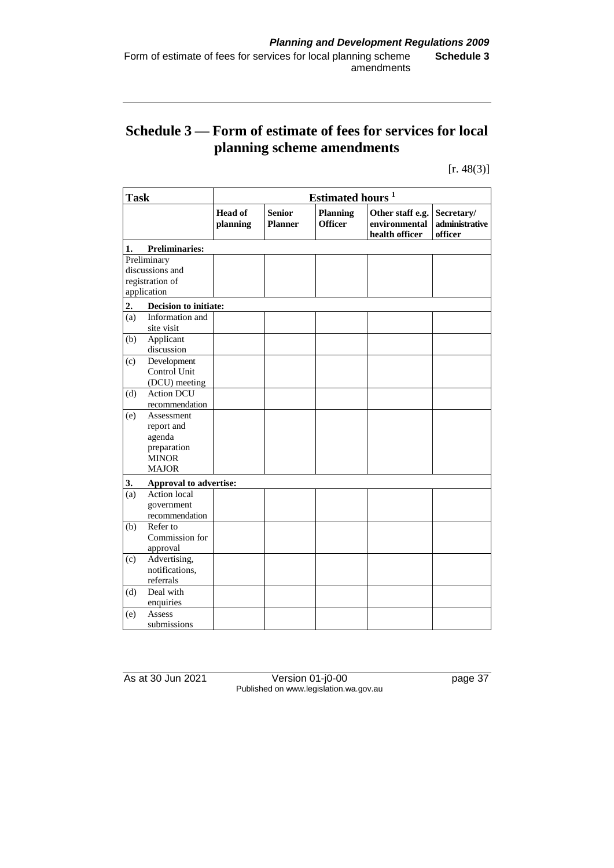# **Schedule 3 — Form of estimate of fees for services for local planning scheme amendments**

 $[r. 48(3)]$ 

| <b>Task</b>    |                        | Estimated hours <sup>1</sup> |                                 |                                   |                                                     |                                         |  |
|----------------|------------------------|------------------------------|---------------------------------|-----------------------------------|-----------------------------------------------------|-----------------------------------------|--|
|                |                        | <b>Head of</b><br>planning   | <b>Senior</b><br><b>Planner</b> | <b>Planning</b><br><b>Officer</b> | Other staff e.g.<br>environmental<br>health officer | Secretary/<br>administrative<br>officer |  |
| 1.             | <b>Preliminaries:</b>  |                              |                                 |                                   |                                                     |                                         |  |
|                | Preliminary            |                              |                                 |                                   |                                                     |                                         |  |
|                | discussions and        |                              |                                 |                                   |                                                     |                                         |  |
|                | registration of        |                              |                                 |                                   |                                                     |                                         |  |
|                | application            |                              |                                 |                                   |                                                     |                                         |  |
| 2.             | Decision to initiate:  |                              |                                 |                                   |                                                     |                                         |  |
| (a)            | Information and        |                              |                                 |                                   |                                                     |                                         |  |
|                | site visit             |                              |                                 |                                   |                                                     |                                         |  |
| (b)            | Applicant              |                              |                                 |                                   |                                                     |                                         |  |
|                | discussion             |                              |                                 |                                   |                                                     |                                         |  |
| (c)            | Development            |                              |                                 |                                   |                                                     |                                         |  |
|                | Control Unit           |                              |                                 |                                   |                                                     |                                         |  |
|                | (DCU) meeting          |                              |                                 |                                   |                                                     |                                         |  |
| (d)            | <b>Action DCU</b>      |                              |                                 |                                   |                                                     |                                         |  |
|                | recommendation         |                              |                                 |                                   |                                                     |                                         |  |
| (e)            | Assessment             |                              |                                 |                                   |                                                     |                                         |  |
|                | report and             |                              |                                 |                                   |                                                     |                                         |  |
|                | agenda                 |                              |                                 |                                   |                                                     |                                         |  |
|                | preparation            |                              |                                 |                                   |                                                     |                                         |  |
|                | <b>MINOR</b>           |                              |                                 |                                   |                                                     |                                         |  |
|                | <b>MAJOR</b>           |                              |                                 |                                   |                                                     |                                         |  |
| 3.             | Approval to advertise: |                              |                                 |                                   |                                                     |                                         |  |
| $\overline{a}$ | <b>Action</b> local    |                              |                                 |                                   |                                                     |                                         |  |
|                | government             |                              |                                 |                                   |                                                     |                                         |  |
|                | recommendation         |                              |                                 |                                   |                                                     |                                         |  |
| (b)            | Refer to               |                              |                                 |                                   |                                                     |                                         |  |
|                | Commission for         |                              |                                 |                                   |                                                     |                                         |  |
|                | approval               |                              |                                 |                                   |                                                     |                                         |  |
| (c)            | Advertising,           |                              |                                 |                                   |                                                     |                                         |  |
|                | notifications,         |                              |                                 |                                   |                                                     |                                         |  |
|                | referrals              |                              |                                 |                                   |                                                     |                                         |  |
| (d)            | Deal with              |                              |                                 |                                   |                                                     |                                         |  |
|                | enquiries              |                              |                                 |                                   |                                                     |                                         |  |
| (e)            | Assess                 |                              |                                 |                                   |                                                     |                                         |  |
|                | submissions            |                              |                                 |                                   |                                                     |                                         |  |

As at 30 Jun 2021 Version 01-j0-00 page 37 Published on www.legislation.wa.gov.au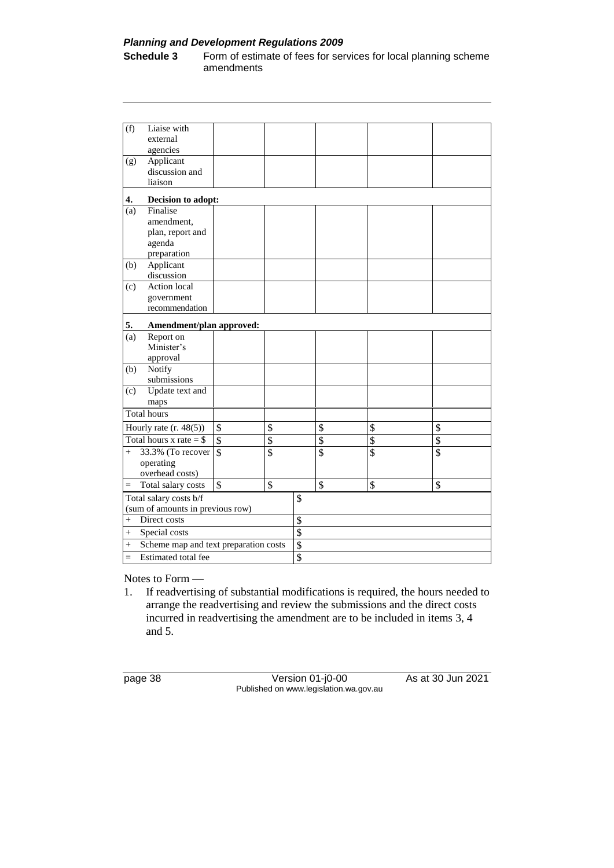#### *Planning and Development Regulations 2009*

**Schedule 3** Form of estimate of fees for services for local planning scheme amendments

| (f)                    | Liaise with                           |                          |                          |                          |                         |                          |  |
|------------------------|---------------------------------------|--------------------------|--------------------------|--------------------------|-------------------------|--------------------------|--|
|                        | external                              |                          |                          |                          |                         |                          |  |
|                        | agencies                              |                          |                          |                          |                         |                          |  |
| (g)                    | Applicant<br>discussion and           |                          |                          |                          |                         |                          |  |
|                        | liaison                               |                          |                          |                          |                         |                          |  |
| 4.                     | Decision to adopt:                    |                          |                          |                          |                         |                          |  |
| (a)                    | Finalise                              |                          |                          |                          |                         |                          |  |
|                        | amendment.                            |                          |                          |                          |                         |                          |  |
|                        | plan, report and                      |                          |                          |                          |                         |                          |  |
|                        | agenda                                |                          |                          |                          |                         |                          |  |
|                        | preparation                           |                          |                          |                          |                         |                          |  |
| (b)                    | Applicant                             |                          |                          |                          |                         |                          |  |
|                        | discussion                            |                          |                          |                          |                         |                          |  |
| (c)                    | <b>Action</b> local                   |                          |                          |                          |                         |                          |  |
|                        | government<br>recommendation          |                          |                          |                          |                         |                          |  |
|                        |                                       |                          |                          |                          |                         |                          |  |
| 5.                     | Amendment/plan approved:              |                          |                          |                          |                         |                          |  |
| (a)                    | Report on                             |                          |                          |                          |                         |                          |  |
|                        | Minister's                            |                          |                          |                          |                         |                          |  |
|                        | approval                              |                          |                          |                          |                         |                          |  |
| (b)                    | Notify                                |                          |                          |                          |                         |                          |  |
| (c)                    | submissions<br>Update text and        |                          |                          |                          |                         |                          |  |
|                        | maps                                  |                          |                          |                          |                         |                          |  |
|                        | <b>Total hours</b>                    |                          |                          |                          |                         |                          |  |
|                        | Hourly rate $(r. 48(5))$              | \$                       | \$                       | \$                       | \$                      | \$                       |  |
|                        | Total hours x rate $=$ \$             | \$                       | $\overline{\mathcal{S}}$ | \$                       | $\overline{\$}$         | $\overline{\$}$          |  |
| $^{+}$                 |                                       | $\overline{\mathcal{S}}$ | $\overline{\$}$          | $\overline{\mathcal{S}}$ | $\overline{\mathsf{s}}$ | $\overline{\mathcal{S}}$ |  |
|                        | 33.3% (To recover<br>operating        |                          |                          |                          |                         |                          |  |
|                        | overhead costs)                       |                          |                          |                          |                         |                          |  |
| $=$                    | Total salary costs                    | $\overline{\$}$          | \$                       | \$                       | $\mathbf{\hat{S}}$      | $\mathcal{S}$            |  |
| Total salary costs b/f |                                       |                          | \$                       |                          |                         |                          |  |
|                        | (sum of amounts in previous row)      |                          |                          |                          |                         |                          |  |
| $\ddot{}$              | Direct costs                          |                          |                          | \$                       |                         |                          |  |
| $^{+}$                 | Special costs                         |                          |                          | \$                       |                         |                          |  |
| $^{+}$                 | Scheme map and text preparation costs |                          |                          | \$                       |                         |                          |  |
| $=$                    | Estimated total fee                   |                          |                          | $\overline{\mathcal{S}}$ |                         |                          |  |
|                        |                                       |                          |                          |                          |                         |                          |  |

Notes to Form —

1. If readvertising of substantial modifications is required, the hours needed to arrange the readvertising and review the submissions and the direct costs incurred in readvertising the amendment are to be included in items 3, 4 and 5.

page 38 Version 01-j0-00 As at 30 Jun 2021 Published on www.legislation.wa.gov.au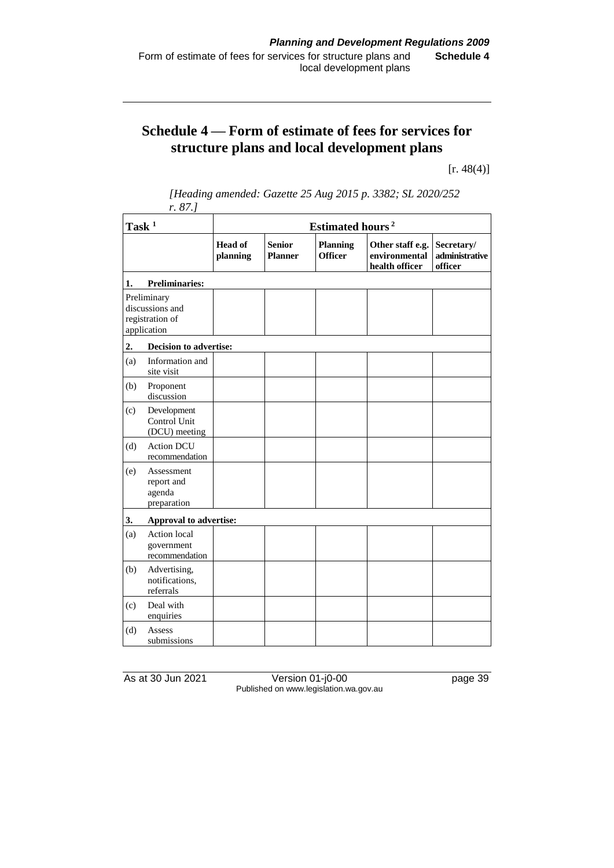# **Schedule 4 — Form of estimate of fees for services for structure plans and local development plans**

 $[r. 48(4)]$ 

| Task <sup>1</sup>                                                |                                                   | Estimated hours <sup>2</sup> |                                 |                                   |                                                     |                                         |  |  |
|------------------------------------------------------------------|---------------------------------------------------|------------------------------|---------------------------------|-----------------------------------|-----------------------------------------------------|-----------------------------------------|--|--|
|                                                                  |                                                   | <b>Head of</b><br>planning   | <b>Senior</b><br><b>Planner</b> | <b>Planning</b><br><b>Officer</b> | Other staff e.g.<br>environmental<br>health officer | Secretary/<br>administrative<br>officer |  |  |
| 1.                                                               | <b>Preliminaries:</b>                             |                              |                                 |                                   |                                                     |                                         |  |  |
| Preliminary<br>discussions and<br>registration of<br>application |                                                   |                              |                                 |                                   |                                                     |                                         |  |  |
| 2.                                                               | <b>Decision to advertise:</b>                     |                              |                                 |                                   |                                                     |                                         |  |  |
| (a)                                                              | Information and<br>site visit                     |                              |                                 |                                   |                                                     |                                         |  |  |
| (b)                                                              | Proponent<br>discussion                           |                              |                                 |                                   |                                                     |                                         |  |  |
| (c)                                                              | Development<br>Control Unit<br>(DCU) meeting      |                              |                                 |                                   |                                                     |                                         |  |  |
| (d)                                                              | <b>Action DCU</b><br>recommendation               |                              |                                 |                                   |                                                     |                                         |  |  |
| (e)                                                              | Assessment<br>report and<br>agenda<br>preparation |                              |                                 |                                   |                                                     |                                         |  |  |
| 3.                                                               | Approval to advertise:                            |                              |                                 |                                   |                                                     |                                         |  |  |
| (a)                                                              | Action local<br>government<br>recommendation      |                              |                                 |                                   |                                                     |                                         |  |  |
| (b)                                                              | Advertising,<br>notifications,<br>referrals       |                              |                                 |                                   |                                                     |                                         |  |  |
| (c)                                                              | Deal with<br>enquiries                            |                              |                                 |                                   |                                                     |                                         |  |  |
| (d)                                                              | Assess<br>submissions                             |                              |                                 |                                   |                                                     |                                         |  |  |

*[Heading amended: Gazette 25 Aug 2015 p. 3382; SL 2020/252 r. 87.]*

As at 30 Jun 2021 Version 01-j0-00 page 39 Published on www.legislation.wa.gov.au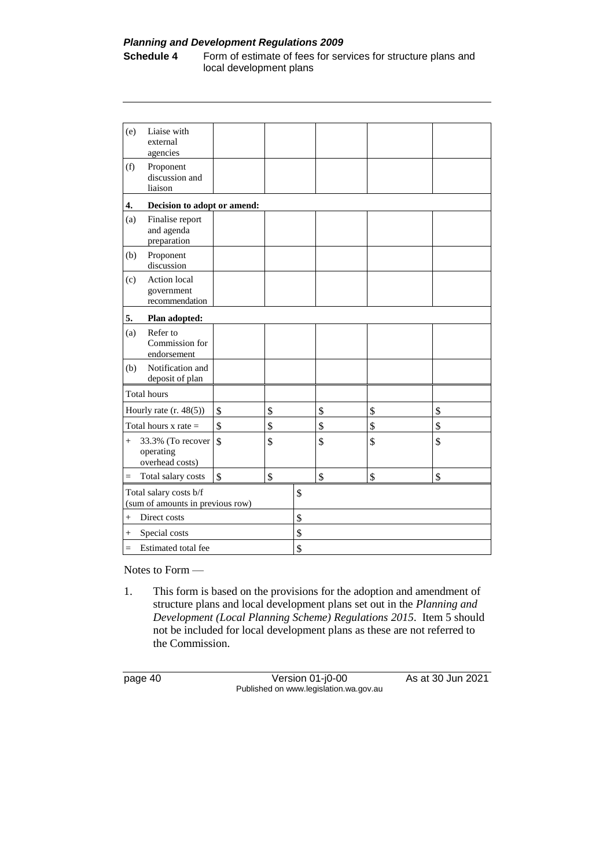#### *Planning and Development Regulations 2009*

**Schedule 4** Form of estimate of fees for services for structure plans and local development plans

| (e)                                                        | Liaise with<br>external<br>agencies               |               |    |    |    |    |  |
|------------------------------------------------------------|---------------------------------------------------|---------------|----|----|----|----|--|
| (f)                                                        | Proponent<br>discussion and<br>liaison            |               |    |    |    |    |  |
| 4.                                                         | Decision to adopt or amend:                       |               |    |    |    |    |  |
| (a)                                                        | Finalise report<br>and agenda<br>preparation      |               |    |    |    |    |  |
| (b)                                                        | Proponent<br>discussion                           |               |    |    |    |    |  |
| (c)                                                        | Action local<br>government<br>recommendation      |               |    |    |    |    |  |
| 5.                                                         | Plan adopted:                                     |               |    |    |    |    |  |
| (a)                                                        | Refer to<br>Commission for<br>endorsement         |               |    |    |    |    |  |
| (b)                                                        | Notification and<br>deposit of plan               |               |    |    |    |    |  |
|                                                            | <b>Total hours</b>                                |               |    |    |    |    |  |
|                                                            | Hourly rate $(r. 48(5))$                          | \$            | \$ | \$ | \$ | \$ |  |
|                                                            | Total hours $x$ rate $=$                          | \$            | \$ | \$ | \$ | \$ |  |
| $^{+}$                                                     | 33.3% (To recover<br>operating<br>overhead costs) | $\mathcal{S}$ | \$ | \$ | \$ | \$ |  |
| $=$                                                        | Total salary costs                                | \$            | \$ | \$ | \$ | \$ |  |
| Total salary costs b/f<br>(sum of amounts in previous row) |                                                   |               | \$ |    |    |    |  |
| Direct costs<br>$+$                                        |                                                   |               | \$ |    |    |    |  |
| $^{+}$                                                     | Special costs                                     |               |    | \$ |    |    |  |
| $=$                                                        | Estimated total fee                               |               |    | \$ |    |    |  |

Notes to Form —

1. This form is based on the provisions for the adoption and amendment of structure plans and local development plans set out in the *Planning and Development (Local Planning Scheme) Regulations 2015*. Item 5 should not be included for local development plans as these are not referred to the Commission.

page 40 Version 01-j0-00 As at 30 Jun 2021 Published on www.legislation.wa.gov.au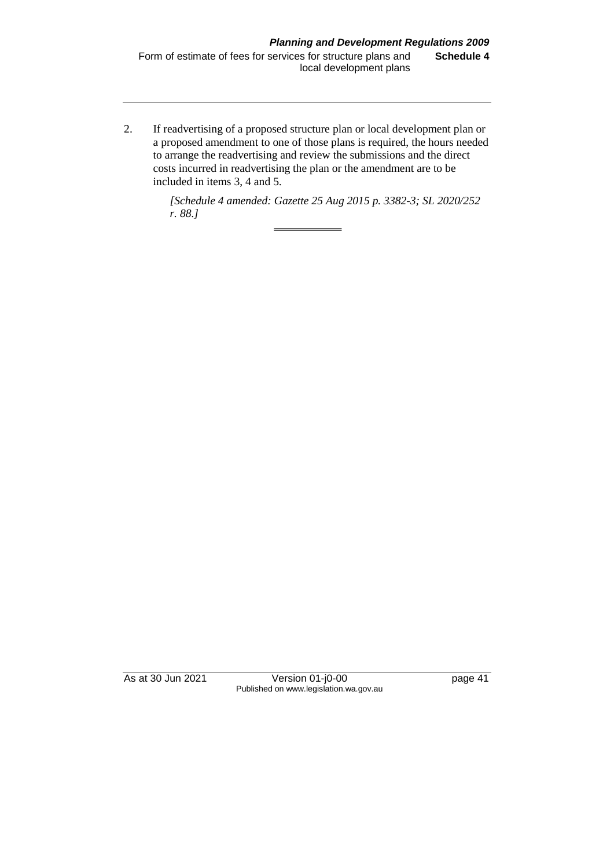2. If readvertising of a proposed structure plan or local development plan or a proposed amendment to one of those plans is required, the hours needed to arrange the readvertising and review the submissions and the direct costs incurred in readvertising the plan or the amendment are to be included in items 3, 4 and 5.

> *[Schedule 4 amended: Gazette 25 Aug 2015 p. 3382-3; SL 2020/252 r. 88.]*

As at 30 Jun 2021 Version 01-j0-00 page 41 Published on www.legislation.wa.gov.au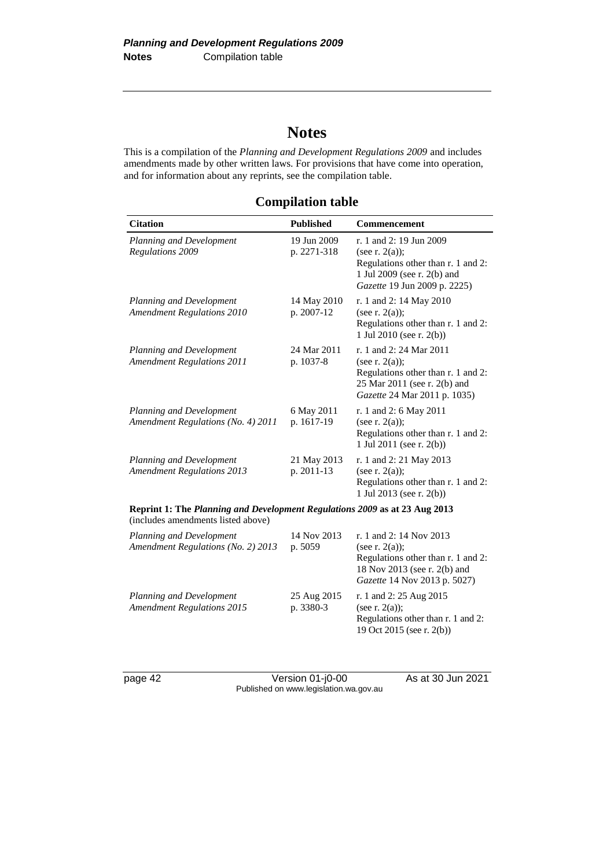# **Notes**

This is a compilation of the *Planning and Development Regulations 2009* and includes amendments made by other written laws. For provisions that have come into operation, and for information about any reprints, see the compilation table.

**Compilation table**

| <b>Citation</b>                                                                                                  | <b>Published</b>           | <b>Commencement</b>                                                                                                                                |
|------------------------------------------------------------------------------------------------------------------|----------------------------|----------------------------------------------------------------------------------------------------------------------------------------------------|
| Planning and Development<br><b>Regulations 2009</b>                                                              | 19 Jun 2009<br>p. 2271-318 | r. 1 and 2: 19 Jun 2009<br>(see r. $2(a)$ );<br>Regulations other than r. 1 and 2:<br>1 Jul 2009 (see r. 2(b) and<br>Gazette 19 Jun 2009 p. 2225)  |
| Planning and Development<br><b>Amendment Regulations 2010</b>                                                    | 14 May 2010<br>p. 2007-12  | r. 1 and 2: 14 May 2010<br>(see r. $2(a)$ );<br>Regulations other than r. 1 and 2:<br>1 Jul 2010 (see r. 2(b))                                     |
| Planning and Development<br><b>Amendment Regulations 2011</b>                                                    | 24 Mar 2011<br>p. 1037-8   | r. 1 and 2: 24 Mar 2011<br>(see r. $2(a)$ );<br>Regulations other than r. 1 and 2:<br>25 Mar 2011 (see r. 2(b) and<br>Gazette 24 Mar 2011 p. 1035) |
| Planning and Development<br>Amendment Regulations (No. 4) 2011                                                   | 6 May 2011<br>p. 1617-19   | r. 1 and 2: 6 May 2011<br>(see r. $2(a)$ );<br>Regulations other than r. 1 and 2:<br>1 Jul 2011 (see r. 2(b))                                      |
| Planning and Development<br><b>Amendment Regulations 2013</b>                                                    | 21 May 2013<br>p. 2011-13  | r. 1 and 2: 21 May 2013<br>(see r. $2(a)$ );<br>Regulations other than r. 1 and 2:<br>1 Jul 2013 (see r. 2(b))                                     |
| Reprint 1: The Planning and Development Regulations 2009 as at 23 Aug 2013<br>(includes amendments listed above) |                            |                                                                                                                                                    |
| Planning and Development<br>Amendment Regulations (No. 2) 2013                                                   | 14 Nov 2013<br>p. 5059     | r. 1 and 2: 14 Nov 2013<br>(see r. $2(a)$ );<br>Regulations other than r. 1 and 2:<br>18 Nov 2013 (see r. 2(b) and<br>Gazette 14 Nov 2013 p. 5027) |
| Planning and Development<br><b>Amendment Regulations 2015</b>                                                    | 25 Aug 2015<br>p. 3380-3   | r. 1 and 2: 25 Aug 2015<br>(see r. $2(a)$ );<br>Regulations other than r. 1 and 2:<br>19 Oct 2015 (see r. 2(b))                                    |

page 42 Version 01-j0-00 As at 30 Jun 2021 Published on www.legislation.wa.gov.au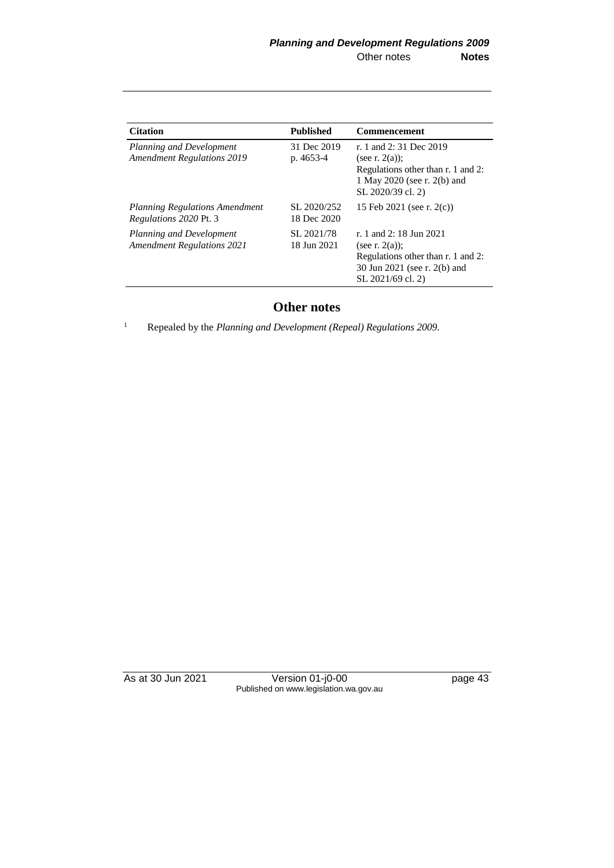| <b>Citation</b>                                                        | <b>Published</b>           | <b>Commencement</b>                                                                                                                     |
|------------------------------------------------------------------------|----------------------------|-----------------------------------------------------------------------------------------------------------------------------------------|
| Planning and Development<br><b>Amendment Regulations 2019</b>          | 31 Dec 2019<br>p. 4653-4   | r. 1 and 2: 31 Dec 2019<br>(see r. $2(a)$ );<br>Regulations other than r. 1 and 2:<br>1 May 2020 (see r. 2(b) and<br>SL 2020/39 cl. 2)  |
| <b>Planning Regulations Amendment</b><br><i>Regulations 2020 Pt. 3</i> | SL 2020/252<br>18 Dec 2020 | 15 Feb 2021 (see r. $2(c)$ )                                                                                                            |
| Planning and Development<br><b>Amendment Regulations 2021</b>          | SL 2021/78<br>18 Jun 2021  | r. 1 and 2: 18 Jun 2021<br>(see r. $2(a)$ );<br>Regulations other than r. 1 and 2:<br>30 Jun 2021 (see r. 2(b) and<br>SL 2021/69 cl. 2) |

## **Other notes**

<sup>1</sup> Repealed by the *Planning and Development (Repeal) Regulations 2009*.

As at 30 Jun 2021 Version 01-j0-00 page 43 Published on www.legislation.wa.gov.au